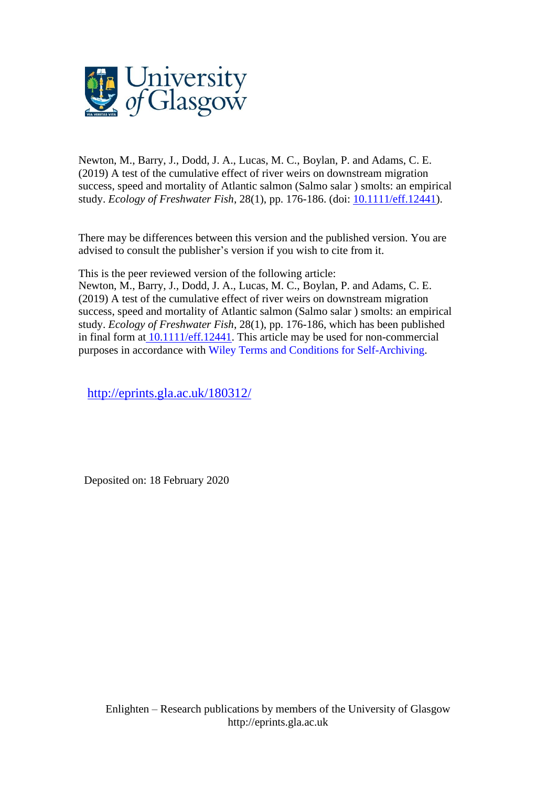

Newton, M., Barry, J., Dodd, J. A., Lucas, M. C., Boylan, P. and Adams, C. E. (2019) A test of the cumulative effect of river weirs on downstream migration success, speed and mortality of Atlantic salmon (Salmo salar ) smolts: an empirical study. *Ecology of Freshwater Fish*, 28(1), pp. 176-186. (doi: [10.1111/eff.12441\)](http://dx.doi.org/10.1111/eff.12441).

There may be differences between this version and the published version. You are advised to consult the publisher's version if you wish to cite from it.

This is the peer reviewed version of the following article:

Newton, M., Barry, J., Dodd, J. A., Lucas, M. C., Boylan, P. and Adams, C. E. (2019) A test of the cumulative effect of river weirs on downstream migration success, speed and mortality of Atlantic salmon (Salmo salar ) smolts: an empirical study. *Ecology of Freshwater Fish*, 28(1), pp. 176-186, which has been published in final form at [10.1111/eff.12441.](http://dx.doi.org/10.1111/eff.12441) This article may be used for non-commercial purposes in accordance with Wiley Terms and Conditions for [Self-Archiving.](http://olabout.wiley.com/WileyCDA/Section/id-828039.html#terms)

<http://eprints.gla.ac.uk/180312/>

Deposited on: 18 February 2020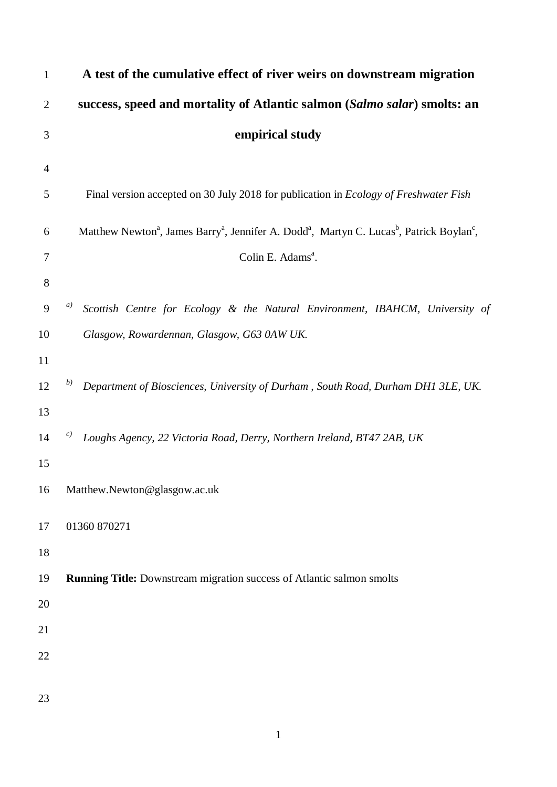| $\mathbf{1}$   | A test of the cumulative effect of river weirs on downstream migration                                                                                |
|----------------|-------------------------------------------------------------------------------------------------------------------------------------------------------|
| $\overline{2}$ | success, speed and mortality of Atlantic salmon (Salmo salar) smolts: an                                                                              |
| 3              | empirical study                                                                                                                                       |
| $\overline{4}$ |                                                                                                                                                       |
| 5              | Final version accepted on 30 July 2018 for publication in Ecology of Freshwater Fish                                                                  |
| 6              | Matthew Newton <sup>a</sup> , James Barry <sup>a</sup> , Jennifer A. Dodd <sup>a</sup> , Martyn C. Lucas <sup>b</sup> , Patrick Boylan <sup>c</sup> , |
| 7              | Colin E. Adams <sup>a</sup> .                                                                                                                         |
| $8\,$          |                                                                                                                                                       |
| 9              | a)<br>Scottish Centre for Ecology & the Natural Environment, IBAHCM, University of                                                                    |
| 10             | Glasgow, Rowardennan, Glasgow, G63 0AW UK.                                                                                                            |
| 11             |                                                                                                                                                       |
| 12             | b)<br>Department of Biosciences, University of Durham, South Road, Durham DH1 3LE, UK.                                                                |
| 13             |                                                                                                                                                       |
| 14             | c)<br>Loughs Agency, 22 Victoria Road, Derry, Northern Ireland, BT47 2AB, UK                                                                          |
| 15             |                                                                                                                                                       |
| 16             | Matthew.Newton@glasgow.ac.uk                                                                                                                          |
| 17             | 01360 870271                                                                                                                                          |
| 18             |                                                                                                                                                       |
| 19             | <b>Running Title:</b> Downstream migration success of Atlantic salmon smolts                                                                          |
| 20             |                                                                                                                                                       |
| 21             |                                                                                                                                                       |
| 22             |                                                                                                                                                       |
|                |                                                                                                                                                       |
| 23             |                                                                                                                                                       |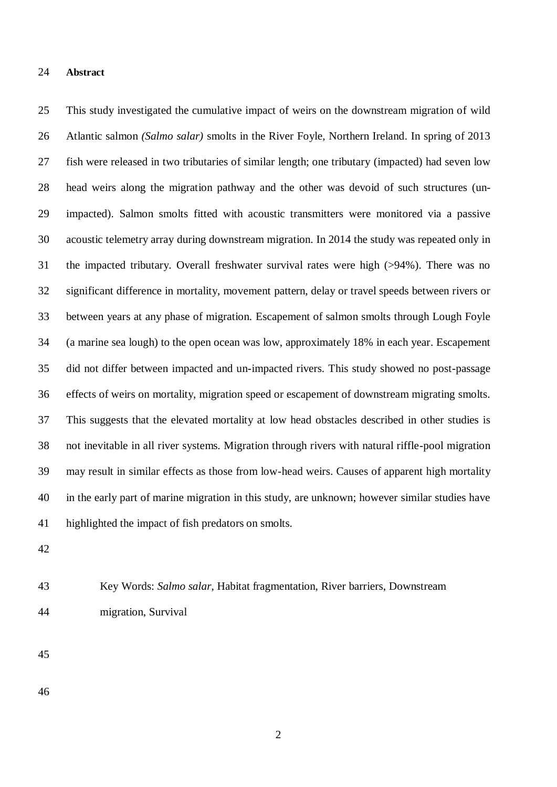#### **Abstract**

 This study investigated the cumulative impact of weirs on the downstream migration of wild Atlantic salmon *(Salmo salar)* smolts in the River Foyle, Northern Ireland. In spring of 2013 fish were released in two tributaries of similar length; one tributary (impacted) had seven low head weirs along the migration pathway and the other was devoid of such structures (un- impacted). Salmon smolts fitted with acoustic transmitters were monitored via a passive acoustic telemetry array during downstream migration. In 2014 the study was repeated only in the impacted tributary. Overall freshwater survival rates were high (>94%). There was no significant difference in mortality, movement pattern, delay or travel speeds between rivers or between years at any phase of migration. Escapement of salmon smolts through Lough Foyle (a marine sea lough) to the open ocean was low, approximately 18% in each year. Escapement did not differ between impacted and un-impacted rivers. This study showed no post-passage effects of weirs on mortality, migration speed or escapement of downstream migrating smolts. This suggests that the elevated mortality at low head obstacles described in other studies is not inevitable in all river systems. Migration through rivers with natural riffle-pool migration may result in similar effects as those from low-head weirs. Causes of apparent high mortality in the early part of marine migration in this study, are unknown; however similar studies have highlighted the impact of fish predators on smolts.

 Key Words: *Salmo salar*, Habitat fragmentation, River barriers, Downstream migration, Survival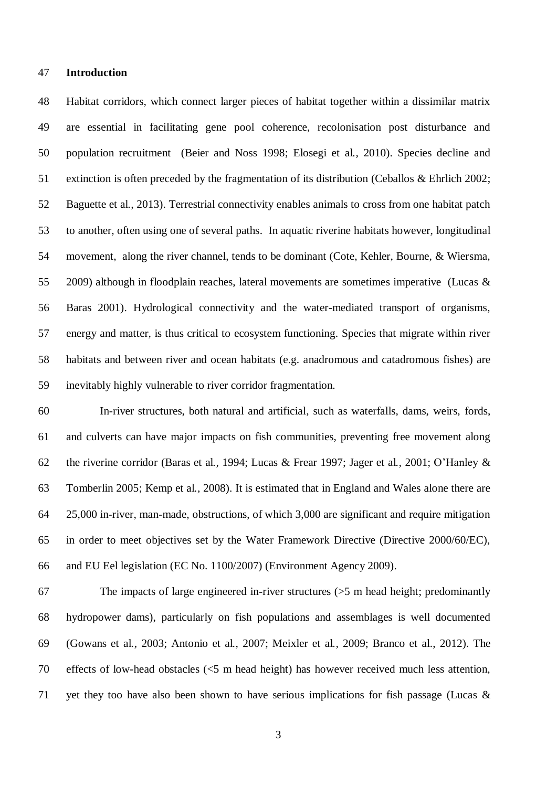#### **Introduction**

 Habitat corridors, which connect larger pieces of habitat together within a dissimilar matrix are essential in facilitating gene pool coherence, recolonisation post disturbance and population recruitment (Beier and Noss 1998; Elosegi et al*.,* 2010). Species decline and extinction is often preceded by the fragmentation of its distribution (Ceballos & Ehrlich 2002; Baguette et al*.,* 2013). Terrestrial connectivity enables animals to cross from one habitat patch to another, often using one of several paths. In aquatic riverine habitats however, longitudinal movement, along the river channel, tends to be dominant (Cote, Kehler, Bourne, & Wiersma, 2009) although in floodplain reaches, lateral movements are sometimes imperative (Lucas & Baras 2001). Hydrological connectivity and the water-mediated transport of organisms, energy and matter, is thus critical to ecosystem functioning. Species that migrate within river habitats and between river and ocean habitats (e.g. anadromous and catadromous fishes) are inevitably highly vulnerable to river corridor fragmentation.

 In-river structures, both natural and artificial, such as waterfalls, dams, weirs, fords, and culverts can have major impacts on fish communities, preventing free movement along the riverine corridor (Baras et al*.,* 1994; Lucas & Frear 1997; Jager et al*.,* 2001; O'Hanley & Tomberlin 2005; Kemp et al*.,* 2008). It is estimated that in England and Wales alone there are 25,000 in-river, man-made, obstructions, of which 3,000 are significant and require mitigation in order to meet objectives set by the Water Framework Directive (Directive 2000/60/EC), and EU Eel legislation (EC No. 1100/2007) (Environment Agency 2009).

 The impacts of large engineered in-river structures (>5 m head height; predominantly hydropower dams), particularly on fish populations and assemblages is well documented (Gowans et al*.,* 2003; Antonio et al*.,* 2007; Meixler et al*.,* 2009; Branco et al., 2012). The effects of low-head obstacles (<5 m head height) has however received much less attention, 71 vet they too have also been shown to have serious implications for fish passage (Lucas  $\&$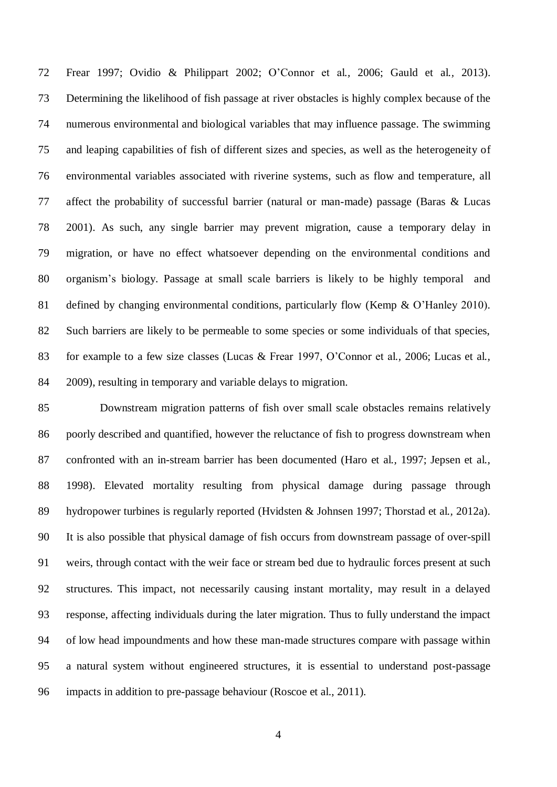Frear 1997; Ovidio & Philippart 2002; O'Connor et al*.,* 2006; Gauld et al*.,* 2013). Determining the likelihood of fish passage at river obstacles is highly complex because of the numerous environmental and biological variables that may influence passage. The swimming and leaping capabilities of fish of different sizes and species, as well as the heterogeneity of environmental variables associated with riverine systems, such as flow and temperature, all affect the probability of successful barrier (natural or man-made) passage (Baras & Lucas 2001). As such, any single barrier may prevent migration, cause a temporary delay in migration, or have no effect whatsoever depending on the environmental conditions and organism's biology. Passage at small scale barriers is likely to be highly temporal and 81 defined by changing environmental conditions, particularly flow (Kemp & O'Hanley 2010). Such barriers are likely to be permeable to some species or some individuals of that species, for example to a few size classes (Lucas & Frear 1997, O'Connor et al*.,* 2006; Lucas et al*.,* 2009), resulting in temporary and variable delays to migration.

 Downstream migration patterns of fish over small scale obstacles remains relatively poorly described and quantified, however the reluctance of fish to progress downstream when confronted with an in-stream barrier has been documented (Haro et al*.,* 1997; Jepsen et al*.,* 1998). Elevated mortality resulting from physical damage during passage through hydropower turbines is regularly reported (Hvidsten & Johnsen 1997; Thorstad et al*.,* 2012a). It is also possible that physical damage of fish occurs from downstream passage of over-spill weirs, through contact with the weir face or stream bed due to hydraulic forces present at such structures. This impact, not necessarily causing instant mortality, may result in a delayed response, affecting individuals during the later migration. Thus to fully understand the impact of low head impoundments and how these man-made structures compare with passage within a natural system without engineered structures, it is essential to understand post-passage impacts in addition to pre-passage behaviour (Roscoe et al., 2011).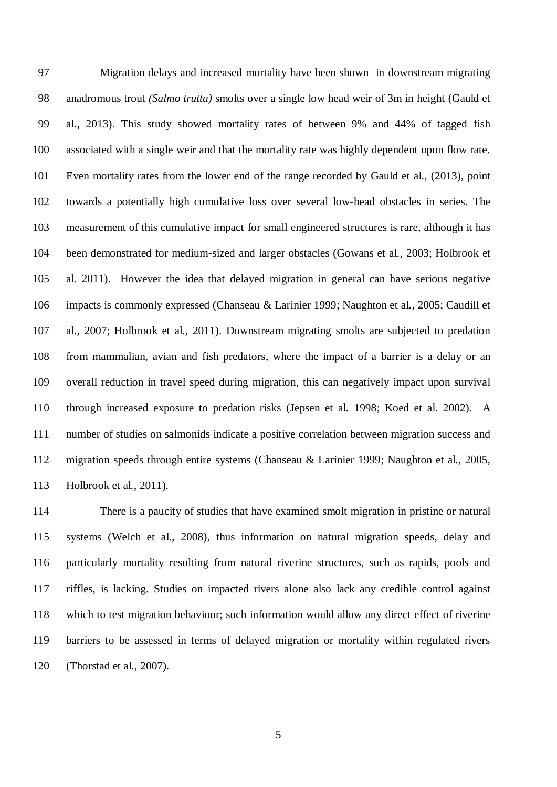Migration delays and increased mortality have been shown in downstream migrating anadromous trout *(Salmo trutta)* smolts over a single low head weir of 3m in height (Gauld et al., 2013). This study showed mortality rates of between 9% and 44% of tagged fish associated with a single weir and that the mortality rate was highly dependent upon flow rate. Even mortality rates from the lower end of the range recorded by Gauld et al., (2013), point towards a potentially high cumulative loss over several low-head obstacles in series. The measurement of this cumulative impact for small engineered structures is rare, although it has been demonstrated for medium-sized and larger obstacles (Gowans et al*.,* 2003; Holbrook et al*.* 2011). However the idea that delayed migration in general can have serious negative impacts is commonly expressed (Chanseau & Larinier 1999; Naughton et al*.,* 2005; Caudill et al*.,* 2007; Holbrook et al*.,* 2011). Downstream migrating smolts are subjected to predation from mammalian, avian and fish predators, where the impact of a barrier is a delay or an overall reduction in travel speed during migration, this can negatively impact upon survival through increased exposure to predation risks (Jepsen et al*.* 1998; Koed et al*.* 2002). A number of studies on salmonids indicate a positive correlation between migration success and migration speeds through entire systems (Chanseau & Larinier 1999; Naughton et al*.,* 2005, Holbrook et al*.,* 2011).

 There is a paucity of studies that have examined smolt migration in pristine or natural systems (Welch et al., 2008), thus information on natural migration speeds, delay and particularly mortality resulting from natural riverine structures, such as rapids, pools and riffles, is lacking. Studies on impacted rivers alone also lack any credible control against which to test migration behaviour; such information would allow any direct effect of riverine barriers to be assessed in terms of delayed migration or mortality within regulated rivers (Thorstad et al*.,* 2007).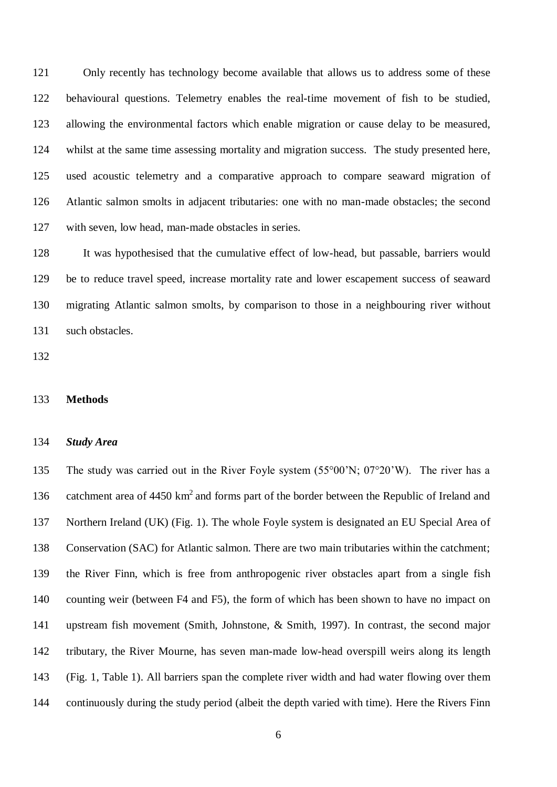Only recently has technology become available that allows us to address some of these behavioural questions. Telemetry enables the real-time movement of fish to be studied, allowing the environmental factors which enable migration or cause delay to be measured, whilst at the same time assessing mortality and migration success. The study presented here, used acoustic telemetry and a comparative approach to compare seaward migration of Atlantic salmon smolts in adjacent tributaries: one with no man-made obstacles; the second with seven, low head, man-made obstacles in series.

 It was hypothesised that the cumulative effect of low-head, but passable, barriers would be to reduce travel speed, increase mortality rate and lower escapement success of seaward migrating Atlantic salmon smolts, by comparison to those in a neighbouring river without such obstacles.

#### **Methods**

### *Study Area*

 The study was carried out in the River Foyle system (55°00'N; 07°20'W). The river has a 136 catchment area of  $4450 \text{ km}^2$  and forms part of the border between the Republic of Ireland and Northern Ireland (UK) (Fig. 1). The whole Foyle system is designated an EU Special Area of Conservation (SAC) for Atlantic salmon. There are two main tributaries within the catchment; the River Finn, which is free from anthropogenic river obstacles apart from a single fish counting weir (between F4 and F5), the form of which has been shown to have no impact on upstream fish movement (Smith, Johnstone, & Smith, 1997). In contrast, the second major tributary, the River Mourne, has seven man-made low-head overspill weirs along its length (Fig. 1, Table 1). All barriers span the complete river width and had water flowing over them continuously during the study period (albeit the depth varied with time). Here the Rivers Finn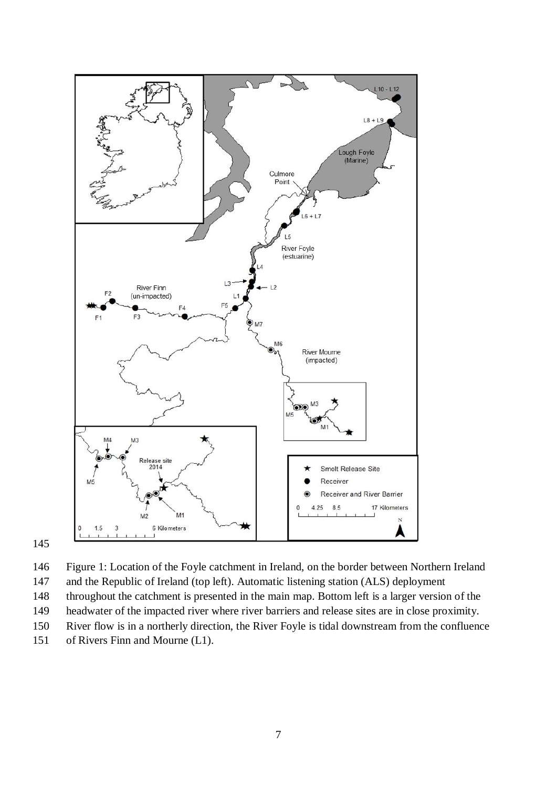

 Figure 1: Location of the Foyle catchment in Ireland, on the border between Northern Ireland and the Republic of Ireland (top left). Automatic listening station (ALS) deployment throughout the catchment is presented in the main map. Bottom left is a larger version of the headwater of the impacted river where river barriers and release sites are in close proximity. River flow is in a northerly direction, the River Foyle is tidal downstream from the confluence of Rivers Finn and Mourne (L1).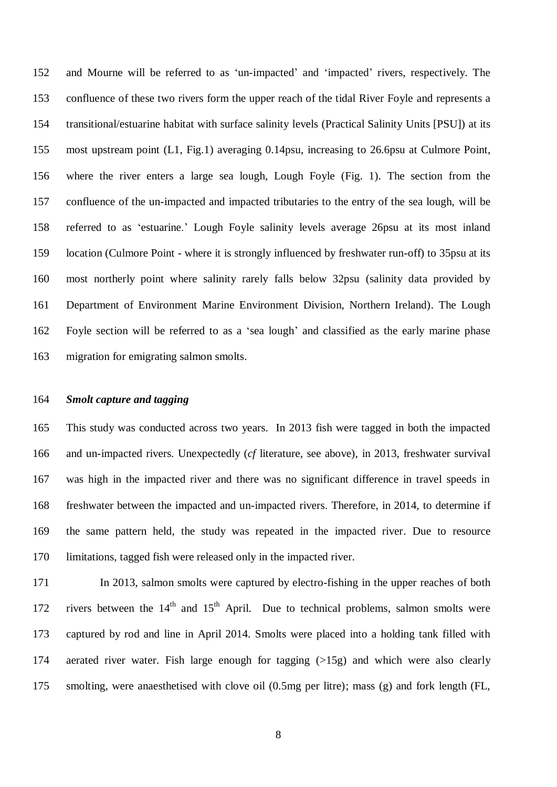and Mourne will be referred to as 'un-impacted' and 'impacted' rivers, respectively. The confluence of these two rivers form the upper reach of the tidal River Foyle and represents a transitional/estuarine habitat with surface salinity levels (Practical Salinity Units [PSU]) at its most upstream point (L1, Fig.1) averaging 0.14psu, increasing to 26.6psu at Culmore Point, where the river enters a large sea lough, Lough Foyle (Fig. 1). The section from the confluence of the un-impacted and impacted tributaries to the entry of the sea lough, will be referred to as 'estuarine.' Lough Foyle salinity levels average 26psu at its most inland location (Culmore Point - where it is strongly influenced by freshwater run-off) to 35psu at its most northerly point where salinity rarely falls below 32psu (salinity data provided by Department of Environment Marine Environment Division, Northern Ireland). The Lough Foyle section will be referred to as a 'sea lough' and classified as the early marine phase migration for emigrating salmon smolts.

#### *Smolt capture and tagging*

 This study was conducted across two years. In 2013 fish were tagged in both the impacted and un-impacted rivers. Unexpectedly (*cf* literature, see above), in 2013, freshwater survival was high in the impacted river and there was no significant difference in travel speeds in freshwater between the impacted and un-impacted rivers. Therefore, in 2014, to determine if the same pattern held, the study was repeated in the impacted river. Due to resource limitations, tagged fish were released only in the impacted river.

 In 2013, salmon smolts were captured by electro-fishing in the upper reaches of both 172 rivers between the  $14<sup>th</sup>$  and  $15<sup>th</sup>$  April. Due to technical problems, salmon smolts were captured by rod and line in April 2014. Smolts were placed into a holding tank filled with aerated river water. Fish large enough for tagging (>15g) and which were also clearly smolting, were anaesthetised with clove oil (0.5mg per litre); mass (g) and fork length (FL,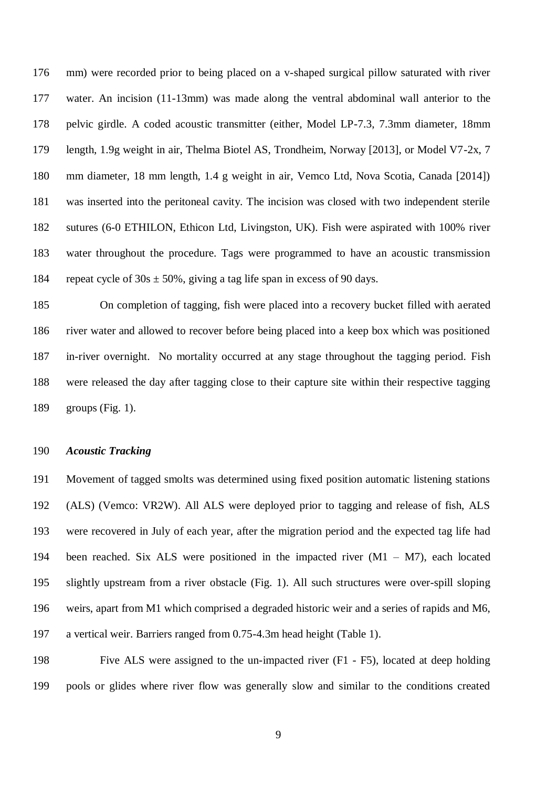mm) were recorded prior to being placed on a v-shaped surgical pillow saturated with river water. An incision (11-13mm) was made along the ventral abdominal wall anterior to the pelvic girdle. A coded acoustic transmitter (either, Model LP-7.3, 7.3mm diameter, 18mm length, 1.9g weight in air, Thelma Biotel AS, Trondheim, Norway [2013], or Model V7-2x, 7 mm diameter, 18 mm length, 1.4 g weight in air, Vemco Ltd, Nova Scotia, Canada [2014]) was inserted into the peritoneal cavity. The incision was closed with two independent sterile sutures (6-0 ETHILON, Ethicon Ltd, Livingston, UK). Fish were aspirated with 100% river water throughout the procedure. Tags were programmed to have an acoustic transmission 184 repeat cycle of  $30s \pm 50\%$ , giving a tag life span in excess of 90 days.

 On completion of tagging, fish were placed into a recovery bucket filled with aerated river water and allowed to recover before being placed into a keep box which was positioned in-river overnight. No mortality occurred at any stage throughout the tagging period. Fish were released the day after tagging close to their capture site within their respective tagging groups (Fig. 1).

## *Acoustic Tracking*

 Movement of tagged smolts was determined using fixed position automatic listening stations (ALS) (Vemco: VR2W). All ALS were deployed prior to tagging and release of fish, ALS were recovered in July of each year, after the migration period and the expected tag life had been reached. Six ALS were positioned in the impacted river (M1 – M7), each located slightly upstream from a river obstacle (Fig. 1). All such structures were over-spill sloping weirs, apart from M1 which comprised a degraded historic weir and a series of rapids and M6, a vertical weir. Barriers ranged from 0.75-4.3m head height (Table 1).

 Five ALS were assigned to the un-impacted river (F1 - F5), located at deep holding pools or glides where river flow was generally slow and similar to the conditions created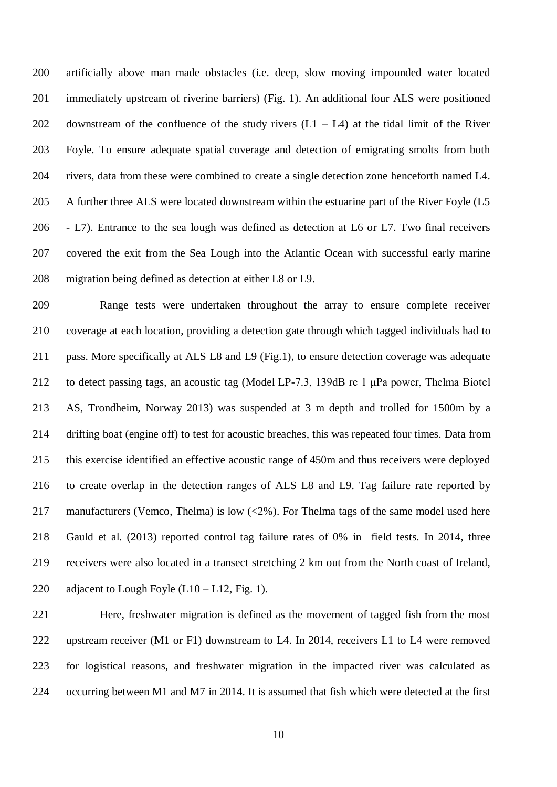artificially above man made obstacles (i.e. deep, slow moving impounded water located immediately upstream of riverine barriers) (Fig. 1). An additional four ALS were positioned 202 downstream of the confluence of the study rivers  $(L1 - L4)$  at the tidal limit of the River Foyle. To ensure adequate spatial coverage and detection of emigrating smolts from both rivers, data from these were combined to create a single detection zone henceforth named L4. A further three ALS were located downstream within the estuarine part of the River Foyle (L5 - L7). Entrance to the sea lough was defined as detection at L6 or L7. Two final receivers covered the exit from the Sea Lough into the Atlantic Ocean with successful early marine migration being defined as detection at either L8 or L9.

 Range tests were undertaken throughout the array to ensure complete receiver coverage at each location, providing a detection gate through which tagged individuals had to pass. More specifically at ALS L8 and L9 (Fig.1), to ensure detection coverage was adequate to detect passing tags, an acoustic tag (Model LP-7.3, 139dB re 1 μPa power, Thelma Biotel AS, Trondheim, Norway 2013) was suspended at 3 m depth and trolled for 1500m by a drifting boat (engine off) to test for acoustic breaches, this was repeated four times. Data from this exercise identified an effective acoustic range of 450m and thus receivers were deployed to create overlap in the detection ranges of ALS L8 and L9. Tag failure rate reported by 217 manufacturers (Vemco, Thelma) is low (<2%). For Thelma tags of the same model used here Gauld et al. (2013) reported control tag failure rates of 0% in field tests. In 2014, three receivers were also located in a transect stretching 2 km out from the North coast of Ireland, 220 adjacent to Lough Foyle  $(L10 - L12, Fig. 1)$ .

 Here, freshwater migration is defined as the movement of tagged fish from the most 222 upstream receiver (M1 or F1) downstream to L4. In 2014, receivers L1 to L4 were removed for logistical reasons, and freshwater migration in the impacted river was calculated as occurring between M1 and M7 in 2014. It is assumed that fish which were detected at the first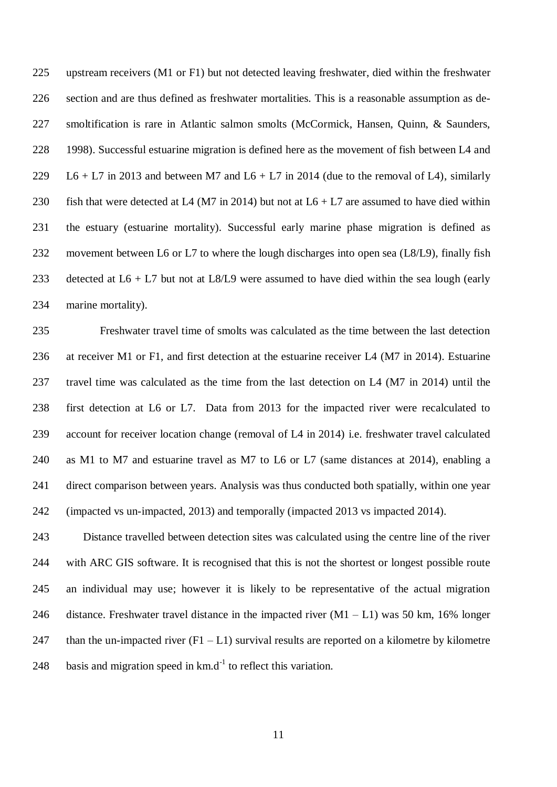upstream receivers (M1 or F1) but not detected leaving freshwater, died within the freshwater section and are thus defined as freshwater mortalities. This is a reasonable assumption as de- smoltification is rare in Atlantic salmon smolts (McCormick, Hansen, Quinn, & Saunders, 1998). Successful estuarine migration is defined here as the movement of fish between L4 and 229 L6 + L7 in 2013 and between M7 and L6 + L7 in 2014 (due to the removal of L4), similarly 230 fish that were detected at L4 (M7 in 2014) but not at  $L6 + L7$  are assumed to have died within the estuary (estuarine mortality). Successful early marine phase migration is defined as movement between L6 or L7 to where the lough discharges into open sea (L8/L9), finally fish 233 detected at  $L6 + L7$  but not at L8/L9 were assumed to have died within the sea lough (early marine mortality).

 Freshwater travel time of smolts was calculated as the time between the last detection at receiver M1 or F1, and first detection at the estuarine receiver L4 (M7 in 2014). Estuarine travel time was calculated as the time from the last detection on L4 (M7 in 2014) until the first detection at L6 or L7. Data from 2013 for the impacted river were recalculated to account for receiver location change (removal of L4 in 2014) i.e. freshwater travel calculated as M1 to M7 and estuarine travel as M7 to L6 or L7 (same distances at 2014), enabling a direct comparison between years. Analysis was thus conducted both spatially, within one year (impacted vs un-impacted, 2013) and temporally (impacted 2013 vs impacted 2014).

 Distance travelled between detection sites was calculated using the centre line of the river with ARC GIS software. It is recognised that this is not the shortest or longest possible route an individual may use; however it is likely to be representative of the actual migration 246 distance. Freshwater travel distance in the impacted river  $(M1 - L1)$  was 50 km, 16% longer 247 than the un-impacted river  $(F1 - L1)$  survival results are reported on a kilometre by kilometre 248 basis and migration speed in  $km.d^{-1}$  to reflect this variation.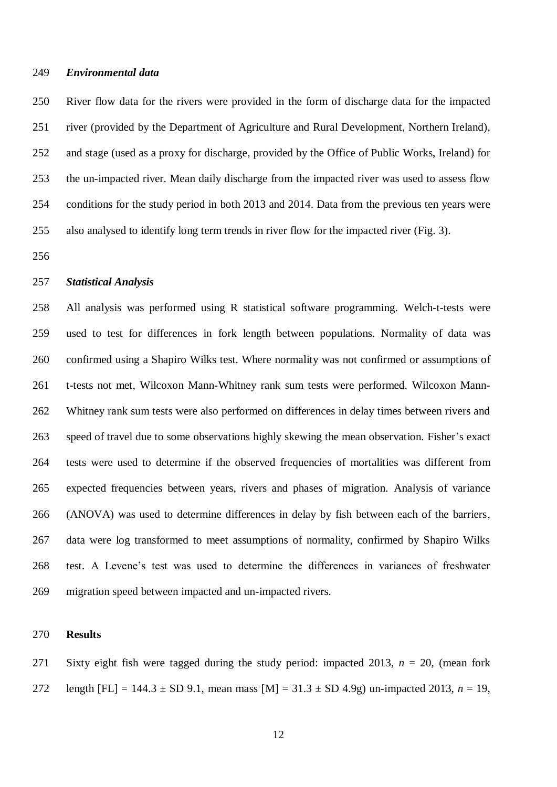#### *Environmental data*

 River flow data for the rivers were provided in the form of discharge data for the impacted river (provided by the Department of Agriculture and Rural Development, Northern Ireland), and stage (used as a proxy for discharge, provided by the Office of Public Works, Ireland) for the un-impacted river. Mean daily discharge from the impacted river was used to assess flow conditions for the study period in both 2013 and 2014. Data from the previous ten years were also analysed to identify long term trends in river flow for the impacted river (Fig. 3).

## *Statistical Analysis*

 All analysis was performed using R statistical software programming. Welch-t-tests were used to test for differences in fork length between populations. Normality of data was confirmed using a Shapiro Wilks test. Where normality was not confirmed or assumptions of t-tests not met, Wilcoxon Mann-Whitney rank sum tests were performed. Wilcoxon Mann- Whitney rank sum tests were also performed on differences in delay times between rivers and speed of travel due to some observations highly skewing the mean observation. Fisher's exact tests were used to determine if the observed frequencies of mortalities was different from expected frequencies between years, rivers and phases of migration. Analysis of variance (ANOVA) was used to determine differences in delay by fish between each of the barriers, data were log transformed to meet assumptions of normality, confirmed by Shapiro Wilks test. A Levene's test was used to determine the differences in variances of freshwater migration speed between impacted and un-impacted rivers.

#### **Results**

271 Sixty eight fish were tagged during the study period: impacted 2013,  $n = 20$ , (mean fork 272 length  $[FL] = 144.3 \pm SD 9.1$ , mean mass  $[M] = 31.3 \pm SD 4.9g$ ) un-impacted 2013,  $n = 19$ ,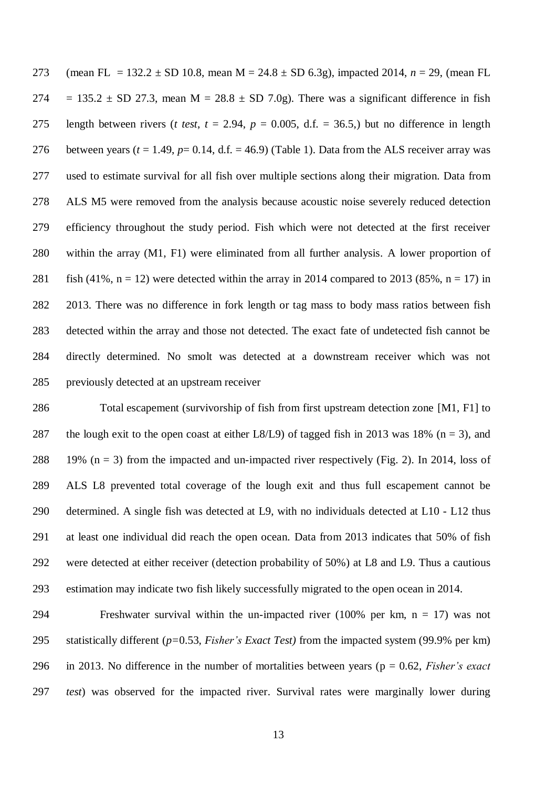(mean FL = 132.2 ± SD 10.8, mean M = 24.8 ± SD 6.3g), impacted 2014, *n* = 29, (mean FL 274 = 135.2  $\pm$  SD 27.3, mean M = 28.8  $\pm$  SD 7.0g). There was a significant difference in fish 275 length between rivers (*t test*,  $t = 2.94$ ,  $p = 0.005$ , d.f. = 36.5,) but no difference in length 276 between years ( $t = 1.49$ ,  $p = 0.14$ , d.f.  $= 46.9$ ) (Table 1). Data from the ALS receiver array was used to estimate survival for all fish over multiple sections along their migration. Data from ALS M5 were removed from the analysis because acoustic noise severely reduced detection efficiency throughout the study period. Fish which were not detected at the first receiver within the array (M1, F1) were eliminated from all further analysis. A lower proportion of 281 fish (41%, n = 12) were detected within the array in 2014 compared to 2013 (85%, n = 17) in 2013. There was no difference in fork length or tag mass to body mass ratios between fish detected within the array and those not detected. The exact fate of undetected fish cannot be directly determined. No smolt was detected at a downstream receiver which was not previously detected at an upstream receiver

 Total escapement (survivorship of fish from first upstream detection zone [M1, F1] to 287 the lough exit to the open coast at either L8/L9) of tagged fish in 2013 was 18% ( $n = 3$ ), and 288 19% ( $n = 3$ ) from the impacted and un-impacted river respectively (Fig. 2). In 2014, loss of ALS L8 prevented total coverage of the lough exit and thus full escapement cannot be determined. A single fish was detected at L9, with no individuals detected at L10 - L12 thus at least one individual did reach the open ocean. Data from 2013 indicates that 50% of fish were detected at either receiver (detection probability of 50%) at L8 and L9. Thus a cautious estimation may indicate two fish likely successfully migrated to the open ocean in 2014.

294 Freshwater survival within the un-impacted river  $(100\%$  per km, n = 17) was not statistically different (*p=*0.53, *Fisher's Exact Test)* from the impacted system (99.9% per km) in 2013. No difference in the number of mortalities between years (p = 0.62, *Fisher's exact test*) was observed for the impacted river. Survival rates were marginally lower during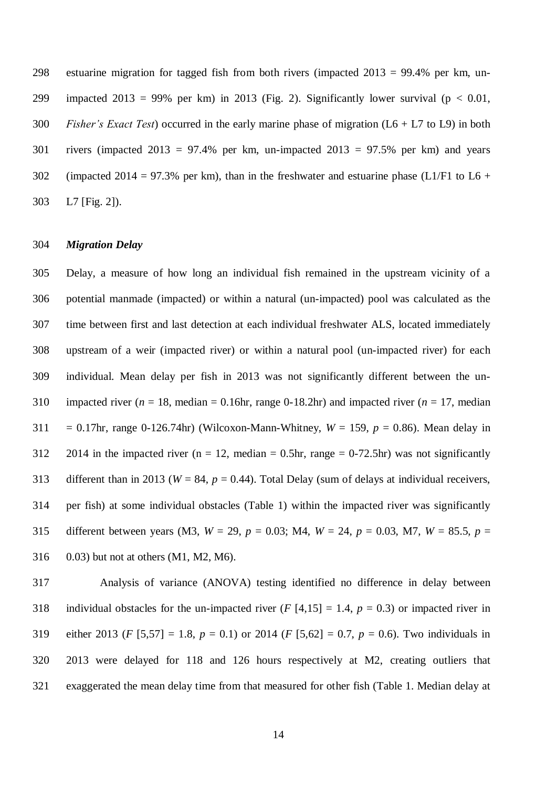estuarine migration for tagged fish from both rivers (impacted 2013 = 99.4% per km, un-299 impacted 2013 = 99% per km) in 2013 (Fig. 2). Significantly lower survival ( $p < 0.01$ , *Fisher's Exact Test*) occurred in the early marine phase of migration (L6 + L7 to L9) in both 301 rivers (impacted  $2013 = 97.4\%$  per km, un-impacted  $2013 = 97.5\%$  per km) and years 302 (impacted 2014 = 97.3% per km), than in the freshwater and estuarine phase (L1/F1 to L6 + L7 [Fig. 2]).

## *Migration Delay*

 Delay, a measure of how long an individual fish remained in the upstream vicinity of a potential manmade (impacted) or within a natural (un-impacted) pool was calculated as the time between first and last detection at each individual freshwater ALS, located immediately upstream of a weir (impacted river) or within a natural pool (un-impacted river) for each individual. Mean delay per fish in 2013 was not significantly different between the un-310 impacted river ( $n = 18$ , median = 0.16hr, range 0-18.2hr) and impacted river ( $n = 17$ , median 311 = 0.17hr, range 0-126.74hr) (Wilcoxon-Mann-Whitney,  $W = 159$ ,  $p = 0.86$ ). Mean delay in 312 2014 in the impacted river (n = 12, median = 0.5hr, range = 0-72.5hr) was not significantly 313 different than in 2013 ( $W = 84$ ,  $p = 0.44$ ). Total Delay (sum of delays at individual receivers, per fish) at some individual obstacles (Table 1) within the impacted river was significantly different between years (M3, *W* = 29, *p* = 0.03; M4, *W* = 24, *p* = 0.03, M7, *W* = 85.5, *p* = 0.03) but not at others (M1, M2, M6).

 Analysis of variance (ANOVA) testing identified no difference in delay between 318 individual obstacles for the un-impacted river  $(F [4, 15] = 1.4, p = 0.3)$  or impacted river in 319 either 2013 (*F*  $[5,57] = 1.8$ ,  $p = 0.1$ ) or 2014 (*F*  $[5,62] = 0.7$ ,  $p = 0.6$ ). Two individuals in 2013 were delayed for 118 and 126 hours respectively at M2, creating outliers that exaggerated the mean delay time from that measured for other fish (Table 1. Median delay at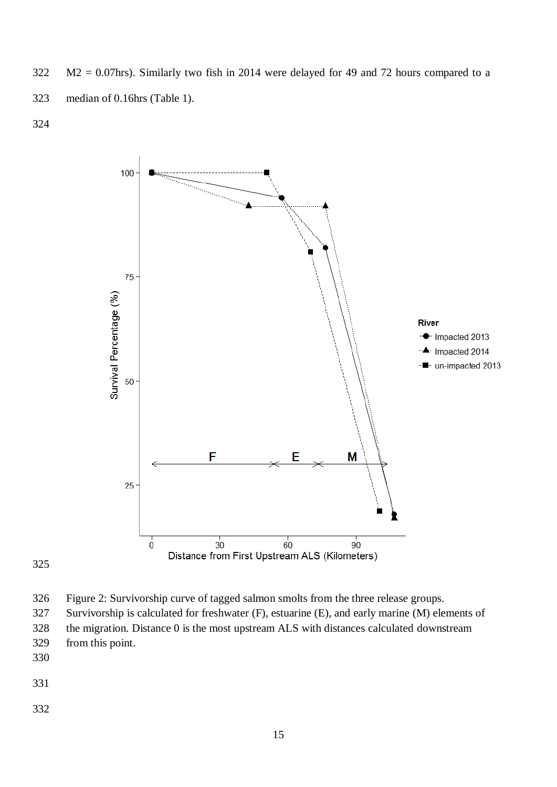M2 = 0.07hrs). Similarly two fish in 2014 were delayed for 49 and 72 hours compared to a median of 0.16hrs (Table 1).



- Figure 2: Survivorship curve of tagged salmon smolts from the three release groups.
- Survivorship is calculated for freshwater (F), estuarine (E), and early marine (M) elements of the migration. Distance 0 is the most upstream ALS with distances calculated downstream
- from this point.
- 
- 
-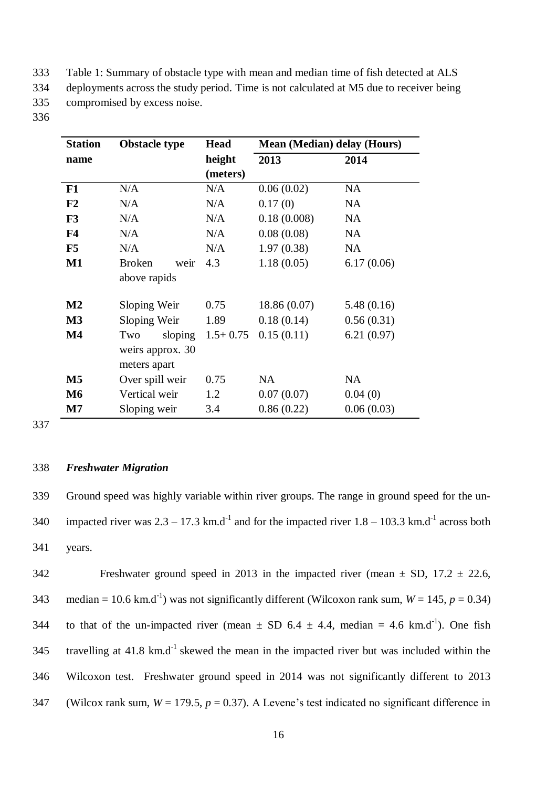333 Table 1: Summary of obstacle type with mean and median time of fish detected at ALS

334 deployments across the study period. Time is not calculated at M5 due to receiver being

335 compromised by excess noise.

336

| <b>Station</b>         | <b>Obstacle type</b>  | <b>Head</b> | <b>Mean (Median) delay (Hours)</b> |            |
|------------------------|-----------------------|-------------|------------------------------------|------------|
| name                   |                       | height      | 2013                               | 2014       |
|                        |                       | (meters)    |                                    |            |
| F1                     | N/A                   | N/A         | 0.06(0.02)                         | <b>NA</b>  |
| F <sub>2</sub>         | N/A                   | N/A         | 0.17(0)                            | <b>NA</b>  |
| F3                     | N/A                   | N/A         | 0.18(0.008)                        | <b>NA</b>  |
| F <sub>4</sub>         | N/A                   | N/A         | 0.08(0.08)                         | <b>NA</b>  |
| F5                     | N/A                   | N/A         | 1.97(0.38)                         | <b>NA</b>  |
| $\mathbf{M1}$          | <b>Broken</b><br>weir | 4.3         | 1.18(0.05)                         | 6.17(0.06) |
|                        | above rapids          |             |                                    |            |
| $\mathbf{M2}$          | Sloping Weir          | 0.75        | 18.86 (0.07)                       | 5.48(0.16) |
| M <sub>3</sub>         | Sloping Weir          | 1.89        | 0.18(0.14)                         | 0.56(0.31) |
| $\mathbf{M}4$          | sloping<br>Two        | $1.5+0.75$  | 0.15(0.11)                         | 6.21(0.97) |
|                        | weirs approx. 30      |             |                                    |            |
|                        | meters apart          |             |                                    |            |
| $\overline{\text{M5}}$ | Over spill weir       | 0.75        | <b>NA</b>                          | <b>NA</b>  |
| <b>M6</b>              | Vertical weir         | 1.2         | 0.07(0.07)                         | 0.04(0)    |
| $\mathbf{M}$ 7         | Sloping weir          | 3.4         | 0.86(0.22)                         | 0.06(0.03) |

337

## 338 *Freshwater Migration*

339 Ground speed was highly variable within river groups. The range in ground speed for the un-340 impacted river was  $2.3 - 17.3$  km.d<sup>-1</sup> and for the impacted river  $1.8 - 103.3$  km.d<sup>-1</sup> across both 341 years.

342 Freshwater ground speed in 2013 in the impacted river (mean  $\pm$  SD, 17.2  $\pm$  22.6, 343 median = 10.6 km.d<sup>-1</sup>) was not significantly different (Wilcoxon rank sum,  $W = 145$ ,  $p = 0.34$ ) 344 to that of the un-impacted river (mean  $\pm$  SD 6.4  $\pm$  4.4, median = 4.6 km.d<sup>-1</sup>). One fish 345 travelling at 41.8 km.d<sup>-1</sup> skewed the mean in the impacted river but was included within the 346 Wilcoxon test. Freshwater ground speed in 2014 was not significantly different to 2013 347 (Wilcox rank sum,  $W = 179.5$ ,  $p = 0.37$ ). A Levene's test indicated no significant difference in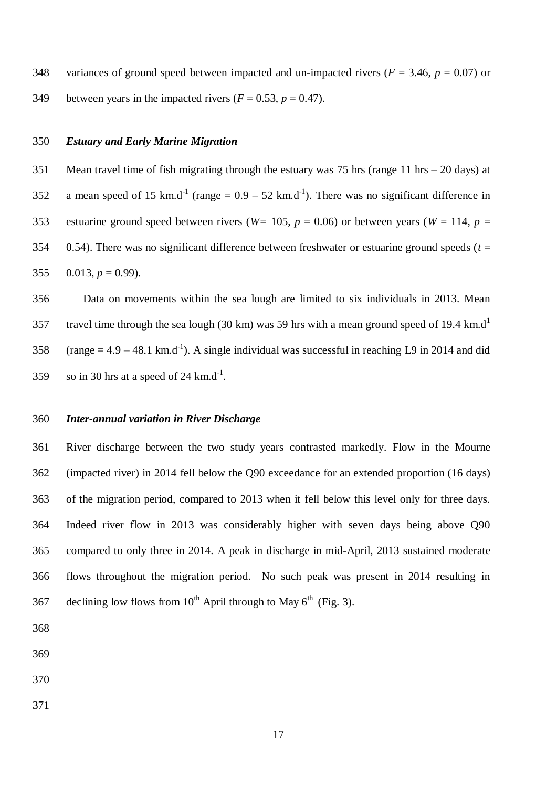348 variances of ground speed between impacted and un-impacted rivers ( $F = 3.46$ ,  $p = 0.07$ ) or 349 between years in the impacted rivers  $(F = 0.53, p = 0.47)$ .

## *Estuary and Early Marine Migration*

 Mean travel time of fish migrating through the estuary was 75 hrs (range 11 hrs – 20 days) at 352 a mean speed of 15 km.d<sup>-1</sup> (range =  $0.9 - 52$  km.d<sup>-1</sup>). There was no significant difference in 353 estuarine ground speed between rivers ( $W= 105$ ,  $p = 0.06$ ) or between years ( $W= 114$ ,  $p =$  0.54). There was no significant difference between freshwater or estuarine ground speeds (*t* = 355  $0.013$ ,  $p = 0.99$ ).

 Data on movements within the sea lough are limited to six individuals in 2013. Mean travel time through the sea lough (30 km) was 59 hrs with a mean ground speed of 19.4 km.d<sup>1</sup> 358 (range =  $4.9 - 48.1$  km.d<sup>-1</sup>). A single individual was successful in reaching L9 in 2014 and did 359 so in 30 hrs at a speed of 24 km.d<sup>-1</sup>.

## *Inter-annual variation in River Discharge*

 River discharge between the two study years contrasted markedly. Flow in the Mourne (impacted river) in 2014 fell below the Q90 exceedance for an extended proportion (16 days) of the migration period, compared to 2013 when it fell below this level only for three days. Indeed river flow in 2013 was considerably higher with seven days being above Q90 compared to only three in 2014. A peak in discharge in mid-April, 2013 sustained moderate flows throughout the migration period. No such peak was present in 2014 resulting in 367 declining low flows from  $10^{th}$  April through to May  $6^{th}$  (Fig. 3).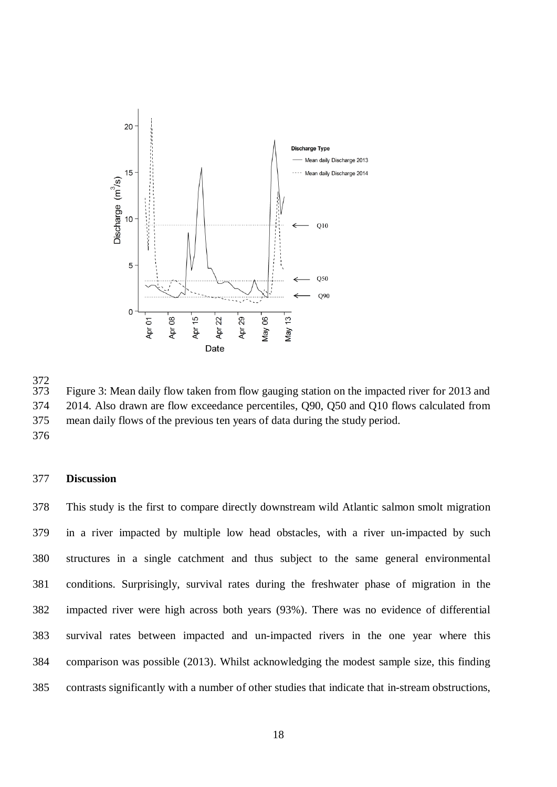

372<br>373 Figure 3: Mean daily flow taken from flow gauging station on the impacted river for 2013 and 2014. Also drawn are flow exceedance percentiles, Q90, Q50 and Q10 flows calculated from mean daily flows of the previous ten years of data during the study period.

## **Discussion**

 This study is the first to compare directly downstream wild Atlantic salmon smolt migration in a river impacted by multiple low head obstacles, with a river un-impacted by such structures in a single catchment and thus subject to the same general environmental conditions. Surprisingly, survival rates during the freshwater phase of migration in the impacted river were high across both years (93%). There was no evidence of differential survival rates between impacted and un-impacted rivers in the one year where this comparison was possible (2013). Whilst acknowledging the modest sample size, this finding contrasts significantly with a number of other studies that indicate that in-stream obstructions,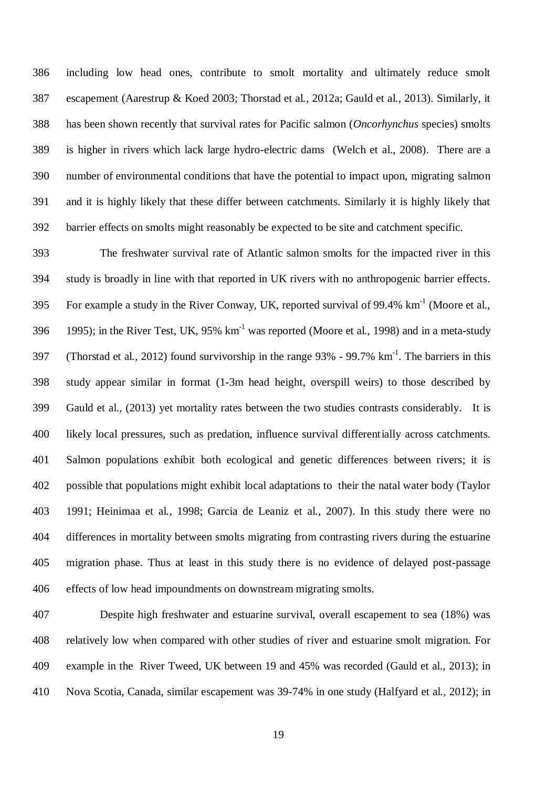including low head ones, contribute to smolt mortality and ultimately reduce smolt escapement (Aarestrup & Koed 2003; Thorstad et al*.,* 2012a; Gauld et al*.,* 2013). Similarly, it has been shown recently that survival rates for Pacific salmon (*Oncorhynchus* species) smolts is higher in rivers which lack large hydro-electric dams (Welch et al., 2008). There are a number of environmental conditions that have the potential to impact upon, migrating salmon and it is highly likely that these differ between catchments. Similarly it is highly likely that barrier effects on smolts might reasonably be expected to be site and catchment specific.

 The freshwater survival rate of Atlantic salmon smolts for the impacted river in this study is broadly in line with that reported in UK rivers with no anthropogenic barrier effects. 395 For example a study in the River Conway, UK, reported survival of 99.4%  $\text{km}^{-1}$  (Moore et al., 396 1995); in the River Test, UK, 95%  $km^{-1}$  was reported (Moore et al., 1998) and in a meta-study 397 (Thorstad et al., 2012) found survivorship in the range 93% - 99.7% km<sup>-1</sup>. The barriers in this study appear similar in format (1-3m head height, overspill weirs) to those described by Gauld et al., (2013) yet mortality rates between the two studies contrasts considerably. It is likely local pressures, such as predation, influence survival differentially across catchments. Salmon populations exhibit both ecological and genetic differences between rivers; it is possible that populations might exhibit local adaptations to their the natal water body (Taylor 1991; Heinimaa et al*.,* 1998; Garcia de Leaniz et al*.,* 2007). In this study there were no differences in mortality between smolts migrating from contrasting rivers during the estuarine migration phase. Thus at least in this study there is no evidence of delayed post-passage effects of low head impoundments on downstream migrating smolts.

 Despite high freshwater and estuarine survival, overall escapement to sea (18%) was relatively low when compared with other studies of river and estuarine smolt migration. For example in the River Tweed, UK between 19 and 45% was recorded (Gauld et al., 2013); in Nova Scotia, Canada, similar escapement was 39-74% in one study (Halfyard et al*.,* 2012); in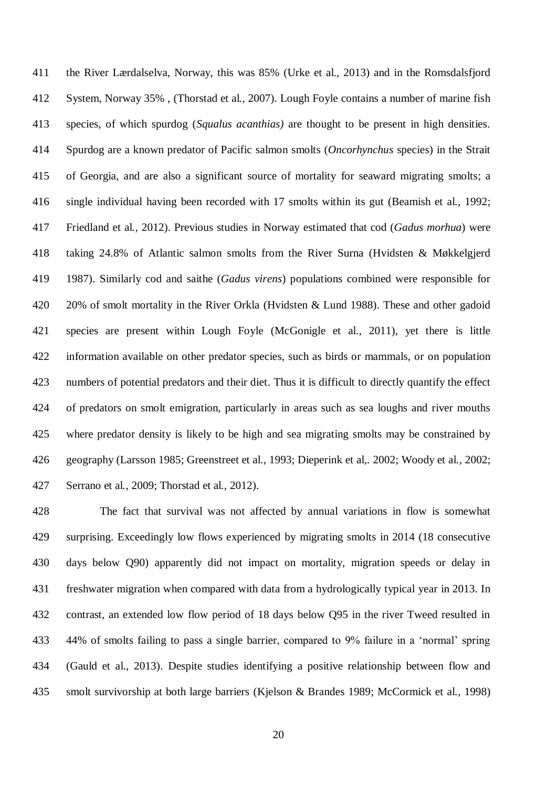the River Lærdalselva, Norway, this was 85% (Urke et al., 2013) and in the Romsdalsfjord System, Norway 35% , (Thorstad et al*.,* 2007). Lough Foyle contains a number of marine fish species, of which spurdog (*Squalus acanthias)* are thought to be present in high densities. Spurdog are a known predator of Pacific salmon smolts (*Oncorhynchus* species) in the Strait of Georgia, and are also a significant source of mortality for seaward migrating smolts; a single individual having been recorded with 17 smolts within its gut (Beamish et al*.,* 1992; Friedland et al*.,* 2012). Previous studies in Norway estimated that cod (*Gadus morhua*) were taking 24.8% of Atlantic salmon smolts from the River Surna (Hvidsten & Møkkelgjerd 1987). Similarly cod and saithe (*Gadus virens*) populations combined were responsible for 20% of smolt mortality in the River Orkla (Hvidsten & Lund 1988). These and other gadoid species are present within Lough Foyle (McGonigle et al., 2011), yet there is little information available on other predator species, such as birds or mammals, or on population numbers of potential predators and their diet. Thus it is difficult to directly quantify the effect of predators on smolt emigration, particularly in areas such as sea loughs and river mouths where predator density is likely to be high and sea migrating smolts may be constrained by geography (Larsson 1985; Greenstreet et al., 1993; Dieperink et al,*.* 2002; Woody et al*.,* 2002; Serrano et al*.,* 2009; Thorstad et al*.,* 2012).

 The fact that survival was not affected by annual variations in flow is somewhat surprising. Exceedingly low flows experienced by migrating smolts in 2014 (18 consecutive days below Q90) apparently did not impact on mortality, migration speeds or delay in freshwater migration when compared with data from a hydrologically typical year in 2013. In contrast, an extended low flow period of 18 days below Q95 in the river Tweed resulted in 44% of smolts failing to pass a single barrier, compared to 9% failure in a 'normal' spring (Gauld et al., 2013). Despite studies identifying a positive relationship between flow and smolt survivorship at both large barriers (Kjelson & Brandes 1989; McCormick et al*.,* 1998)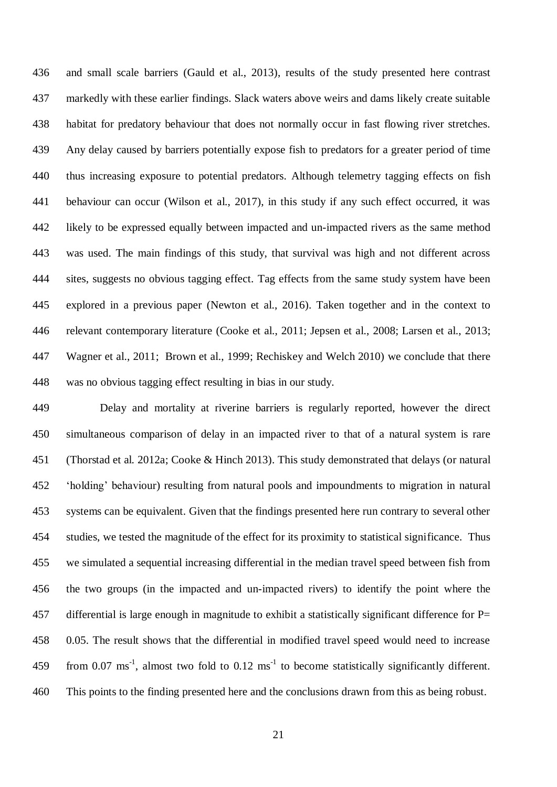and small scale barriers (Gauld et al., 2013), results of the study presented here contrast markedly with these earlier findings. Slack waters above weirs and dams likely create suitable habitat for predatory behaviour that does not normally occur in fast flowing river stretches. Any delay caused by barriers potentially expose fish to predators for a greater period of time thus increasing exposure to potential predators. Although telemetry tagging effects on fish behaviour can occur (Wilson et al., 2017), in this study if any such effect occurred, it was likely to be expressed equally between impacted and un-impacted rivers as the same method was used. The main findings of this study, that survival was high and not different across sites, suggests no obvious tagging effect. Tag effects from the same study system have been explored in a previous paper (Newton et al., 2016). Taken together and in the context to relevant contemporary literature (Cooke et al., 2011; Jepsen et al., 2008; Larsen et al., 2013; Wagner et al., 2011; Brown et al., 1999; Rechiskey and Welch 2010) we conclude that there was no obvious tagging effect resulting in bias in our study.

 Delay and mortality at riverine barriers is regularly reported, however the direct simultaneous comparison of delay in an impacted river to that of a natural system is rare (Thorstad et al*.* 2012a; Cooke & Hinch 2013). This study demonstrated that delays (or natural 'holding' behaviour) resulting from natural pools and impoundments to migration in natural systems can be equivalent. Given that the findings presented here run contrary to several other studies, we tested the magnitude of the effect for its proximity to statistical significance. Thus we simulated a sequential increasing differential in the median travel speed between fish from the two groups (in the impacted and un-impacted rivers) to identify the point where the differential is large enough in magnitude to exhibit a statistically significant difference for P= 0.05. The result shows that the differential in modified travel speed would need to increase 459 from 0.07 ms<sup>-1</sup>, almost two fold to 0.12 ms<sup>-1</sup> to become statistically significantly different. This points to the finding presented here and the conclusions drawn from this as being robust.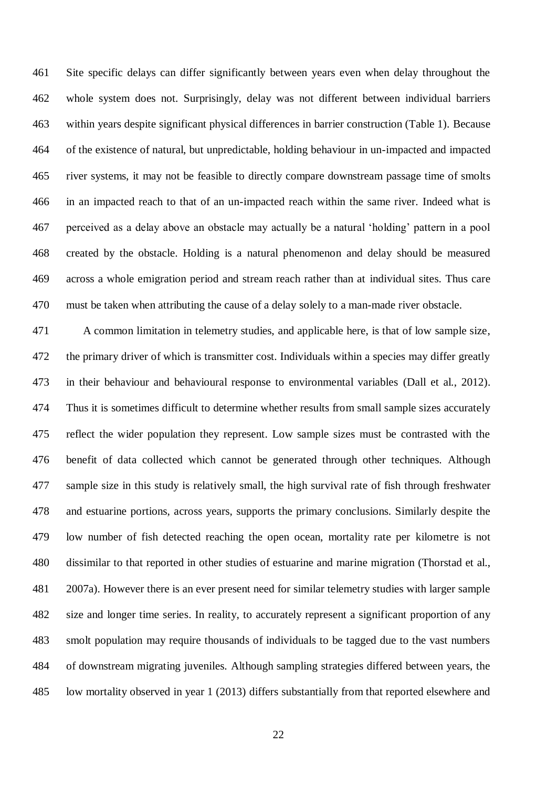Site specific delays can differ significantly between years even when delay throughout the whole system does not. Surprisingly, delay was not different between individual barriers within years despite significant physical differences in barrier construction (Table 1). Because of the existence of natural, but unpredictable, holding behaviour in un-impacted and impacted river systems, it may not be feasible to directly compare downstream passage time of smolts in an impacted reach to that of an un-impacted reach within the same river. Indeed what is perceived as a delay above an obstacle may actually be a natural 'holding' pattern in a pool created by the obstacle. Holding is a natural phenomenon and delay should be measured across a whole emigration period and stream reach rather than at individual sites. Thus care must be taken when attributing the cause of a delay solely to a man-made river obstacle.

 A common limitation in telemetry studies, and applicable here, is that of low sample size, the primary driver of which is transmitter cost. Individuals within a species may differ greatly in their behaviour and behavioural response to environmental variables (Dall et al., 2012). Thus it is sometimes difficult to determine whether results from small sample sizes accurately reflect the wider population they represent. Low sample sizes must be contrasted with the benefit of data collected which cannot be generated through other techniques. Although sample size in this study is relatively small, the high survival rate of fish through freshwater and estuarine portions, across years, supports the primary conclusions. Similarly despite the low number of fish detected reaching the open ocean, mortality rate per kilometre is not dissimilar to that reported in other studies of estuarine and marine migration (Thorstad et al., 2007a). However there is an ever present need for similar telemetry studies with larger sample size and longer time series. In reality, to accurately represent a significant proportion of any smolt population may require thousands of individuals to be tagged due to the vast numbers of downstream migrating juveniles. Although sampling strategies differed between years, the low mortality observed in year 1 (2013) differs substantially from that reported elsewhere and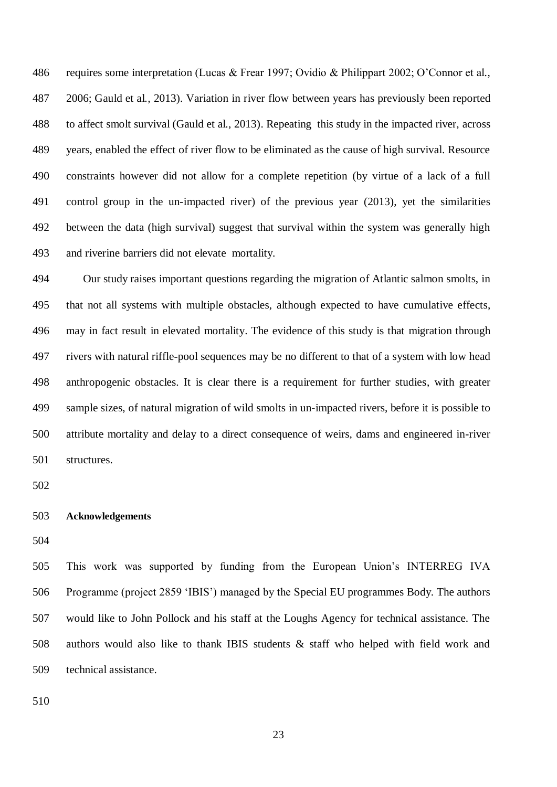requires some interpretation (Lucas & Frear 1997; Ovidio & Philippart 2002; O'Connor et al*.,* 2006; Gauld et al*.,* 2013). Variation in river flow between years has previously been reported to affect smolt survival (Gauld et al., 2013). Repeating this study in the impacted river, across years, enabled the effect of river flow to be eliminated as the cause of high survival. Resource constraints however did not allow for a complete repetition (by virtue of a lack of a full control group in the un-impacted river) of the previous year (2013), yet the similarities between the data (high survival) suggest that survival within the system was generally high and riverine barriers did not elevate mortality.

 Our study raises important questions regarding the migration of Atlantic salmon smolts, in that not all systems with multiple obstacles, although expected to have cumulative effects, may in fact result in elevated mortality. The evidence of this study is that migration through rivers with natural riffle-pool sequences may be no different to that of a system with low head anthropogenic obstacles. It is clear there is a requirement for further studies, with greater sample sizes, of natural migration of wild smolts in un-impacted rivers, before it is possible to attribute mortality and delay to a direct consequence of weirs, dams and engineered in-river structures.

## **Acknowledgements**

 This work was supported by funding from the European Union's INTERREG IVA Programme (project 2859 'IBIS') managed by the Special EU programmes Body. The authors would like to John Pollock and his staff at the Loughs Agency for technical assistance. The authors would also like to thank IBIS students & staff who helped with field work and technical assistance.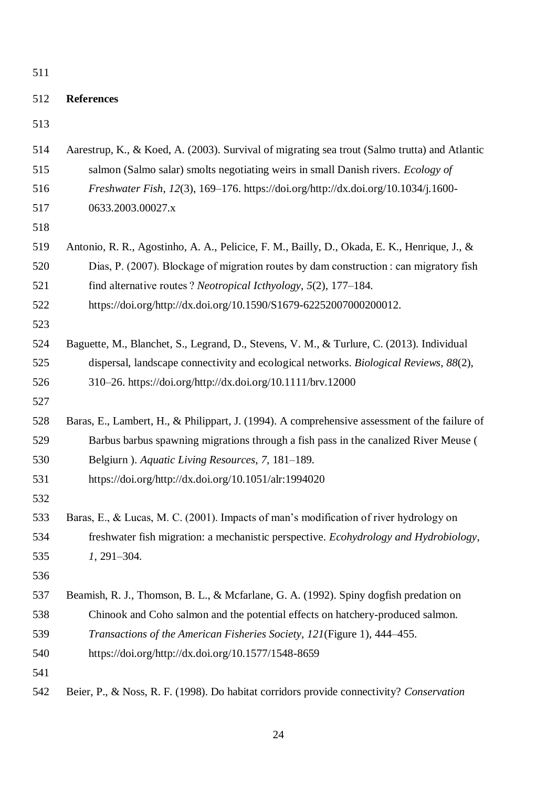# **References**

| 514 | Aarestrup, K., & Koed, A. (2003). Survival of migrating sea trout (Salmo trutta) and Atlantic |
|-----|-----------------------------------------------------------------------------------------------|
| 515 | salmon (Salmo salar) smolts negotiating weirs in small Danish rivers. <i>Ecology of</i>       |
| 516 | Freshwater Fish, 12(3), 169-176. https://doi.org/http://dx.doi.org/10.1034/j.1600-            |
| 517 | 0633.2003.00027.x                                                                             |
| 518 |                                                                                               |
| 519 | Antonio, R. R., Agostinho, A. A., Pelicice, F. M., Bailly, D., Okada, E. K., Henrique, J., &  |
| 520 | Dias, P. (2007). Blockage of migration routes by dam construction: can migratory fish         |
| 521 | find alternative routes? Neotropical Icthyology, 5(2), 177–184.                               |
| 522 | https://doi.org/http://dx.doi.org/10.1590/S1679-62252007000200012.                            |
| 523 |                                                                                               |
| 524 | Baguette, M., Blanchet, S., Legrand, D., Stevens, V. M., & Turlure, C. (2013). Individual     |
| 525 | dispersal, landscape connectivity and ecological networks. Biological Reviews, 88(2),         |
| 526 | 310–26. https://doi.org/http://dx.doi.org/10.1111/brv.12000                                   |
| 527 |                                                                                               |
| 528 | Baras, E., Lambert, H., & Philippart, J. (1994). A comprehensive assessment of the failure of |
| 529 | Barbus barbus spawning migrations through a fish pass in the canalized River Meuse (          |
| 530 | Belgiurn ). Aquatic Living Resources, 7, 181-189.                                             |
| 531 | https://doi.org/http://dx.doi.org/10.1051/alr:1994020                                         |
| 532 |                                                                                               |
| 533 | Baras, E., & Lucas, M. C. (2001). Impacts of man's modification of river hydrology on         |
| 534 | freshwater fish migration: a mechanistic perspective. Ecohydrology and Hydrobiology,          |
| 535 | $1, 291 - 304.$                                                                               |
| 536 |                                                                                               |
| 537 | Beamish, R. J., Thomson, B. L., & Mcfarlane, G. A. (1992). Spiny dogfish predation on         |
| 538 | Chinook and Coho salmon and the potential effects on hatchery-produced salmon.                |
| 539 | Transactions of the American Fisheries Society, 121(Figure 1), 444–455.                       |
| 540 | https://doi.org/http://dx.doi.org/10.1577/1548-8659                                           |
| 541 |                                                                                               |
| 542 | Beier, P., & Noss, R. F. (1998). Do habitat corridors provide connectivity? Conservation      |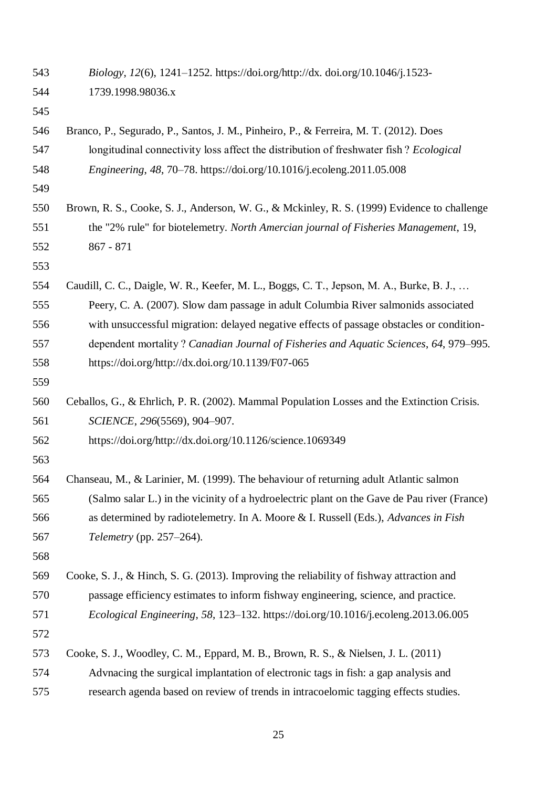*Biology*, *12*(6), 1241–1252. https://doi.org/http://dx. doi.org/10.1046/j.1523- 1739.1998.98036.x Branco, P., Segurado, P., Santos, J. M., Pinheiro, P., & Ferreira, M. T. (2012). Does longitudinal connectivity loss affect the distribution of freshwater fish ? *Ecological Engineering*, *48*, 70–78. https://doi.org/10.1016/j.ecoleng.2011.05.008 Brown, R. S., Cooke, S. J., Anderson, W. G., & Mckinley, R. S. (1999) Evidence to challenge the "2% rule" for biotelemetry. *North Amercian journal of Fisheries Management*, 19, 867 - 871 Caudill, C. C., Daigle, W. R., Keefer, M. L., Boggs, C. T., Jepson, M. A., Burke, B. J., … Peery, C. A. (2007). Slow dam passage in adult Columbia River salmonids associated with unsuccessful migration: delayed negative effects of passage obstacles or condition- dependent mortality ? *Canadian Journal of Fisheries and Aquatic Sciences*, *64*, 979–995. https://doi.org/http://dx.doi.org/10.1139/F07-065 Ceballos, G., & Ehrlich, P. R. (2002). Mammal Population Losses and the Extinction Crisis. *SCIENCE*, *296*(5569), 904–907. https://doi.org/http://dx.doi.org/10.1126/science.1069349 Chanseau, M., & Larinier, M. (1999). The behaviour of returning adult Atlantic salmon (Salmo salar L.) in the vicinity of a hydroelectric plant on the Gave de Pau river (France) as determined by radiotelemetry. In A. Moore & I. Russell (Eds.), *Advances in Fish Telemetry* (pp. 257–264). 

 Cooke, S. J., & Hinch, S. G. (2013). Improving the reliability of fishway attraction and passage efficiency estimates to inform fishway engineering, science, and practice. *Ecological Engineering*, *58*, 123–132. https://doi.org/10.1016/j.ecoleng.2013.06.005

|  | 573 Cooke, S. J., Woodley, C. M., Eppard, M. B., Brown, R. S., & Nielsen, J. L. (2011) |  |  |  |  |  |  |  |  |  |  |  |
|--|----------------------------------------------------------------------------------------|--|--|--|--|--|--|--|--|--|--|--|
|--|----------------------------------------------------------------------------------------|--|--|--|--|--|--|--|--|--|--|--|

Advnacing the surgical implantation of electronic tags in fish: a gap analysis and

research agenda based on review of trends in intracoelomic tagging effects studies.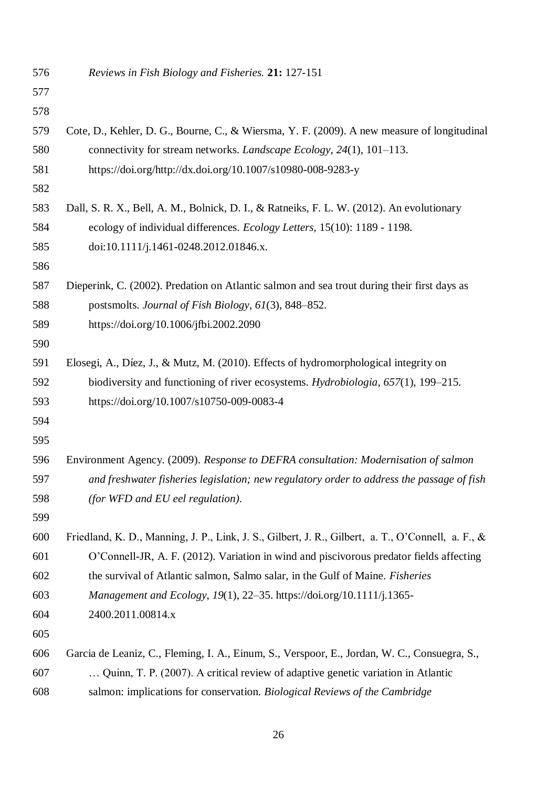*Reviews in Fish Biology and Fisheries.* **21:** 127-151

| 578 |                                                                                                    |
|-----|----------------------------------------------------------------------------------------------------|
| 579 | Cote, D., Kehler, D. G., Bourne, C., & Wiersma, Y. F. (2009). A new measure of longitudinal        |
| 580 | connectivity for stream networks. <i>Landscape Ecology</i> , 24(1), 101-113.                       |
| 581 | https://doi.org/http://dx.doi.org/10.1007/s10980-008-9283-y                                        |
| 582 |                                                                                                    |
| 583 | Dall, S. R. X., Bell, A. M., Bolnick, D. I., & Ratneiks, F. L. W. (2012). An evolutionary          |
| 584 | ecology of individual differences. Ecology Letters, 15(10): 1189 - 1198.                           |
| 585 | doi:10.1111/j.1461-0248.2012.01846.x.                                                              |
| 586 |                                                                                                    |
| 587 | Dieperink, C. (2002). Predation on Atlantic salmon and sea trout during their first days as        |
| 588 | postsmolts. Journal of Fish Biology, 61(3), 848–852.                                               |
| 589 | https://doi.org/10.1006/jfbi.2002.2090                                                             |
| 590 |                                                                                                    |
| 591 | Elosegi, A., Díez, J., & Mutz, M. (2010). Effects of hydromorphological integrity on               |
| 592 | biodiversity and functioning of river ecosystems. Hydrobiologia, 657(1), 199–215.                  |
| 593 | https://doi.org/10.1007/s10750-009-0083-4                                                          |
| 594 |                                                                                                    |
| 595 |                                                                                                    |
| 596 | Environment Agency. (2009). Response to DEFRA consultation: Modernisation of salmon                |
| 597 | and freshwater fisheries legislation; new regulatory order to address the passage of fish          |
| 598 | (for WFD and EU eel regulation).                                                                   |
| 599 |                                                                                                    |
| 600 | Friedland, K. D., Manning, J. P., Link, J. S., Gilbert, J. R., Gilbert, a. T., O'Connell, a. F., & |
| 601 | O'Connell-JR, A. F. (2012). Variation in wind and piscivorous predator fields affecting            |
| 602 | the survival of Atlantic salmon, Salmo salar, in the Gulf of Maine. Fisheries                      |
| 603 | Management and Ecology, 19(1), 22-35. https://doi.org/10.1111/j.1365-                              |
| 604 | 2400.2011.00814.x                                                                                  |
| 605 |                                                                                                    |
| 606 | Garcia de Leaniz, C., Fleming, I. A., Einum, S., Verspoor, E., Jordan, W. C., Consuegra, S.,       |
| 607 | Quinn, T. P. (2007). A critical review of adaptive genetic variation in Atlantic                   |
| 608 | salmon: implications for conservation. Biological Reviews of the Cambridge                         |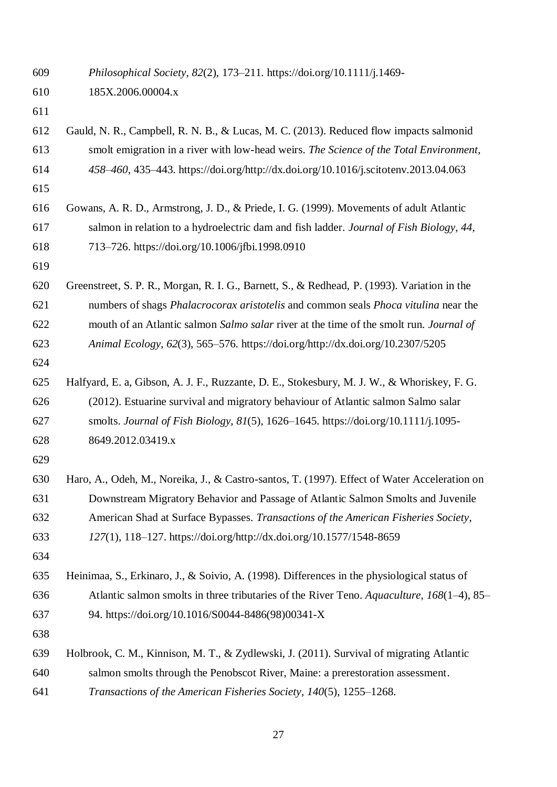*Philosophical Society*, *82*(2), 173–211. https://doi.org/10.1111/j.1469-

Gauld, N. R., Campbell, R. N. B., & Lucas, M. C. (2013). Reduced flow impacts salmonid

185X.2006.00004.x

| 613 | smolt emigration in a river with low-head weirs. The Science of the Total Environment,       |
|-----|----------------------------------------------------------------------------------------------|
| 614 | 458-460, 435-443. https://doi.org/http://dx.doi.org/10.1016/j.scitotenv.2013.04.063          |
| 615 |                                                                                              |
| 616 | Gowans, A. R. D., Armstrong, J. D., & Priede, I. G. (1999). Movements of adult Atlantic      |
| 617 | salmon in relation to a hydroelectric dam and fish ladder. Journal of Fish Biology, 44,      |
| 618 | 713-726. https://doi.org/10.1006/jfbi.1998.0910                                              |
| 619 |                                                                                              |
| 620 | Greenstreet, S. P. R., Morgan, R. I. G., Barnett, S., & Redhead, P. (1993). Variation in the |
| 621 | numbers of shags Phalacrocorax aristotelis and common seals Phoca vitulina near the          |
| 622 | mouth of an Atlantic salmon Salmo salar river at the time of the smolt run. Journal of       |
| 623 | Animal Ecology, 62(3), 565–576. https://doi.org/http://dx.doi.org/10.2307/5205               |
| 624 |                                                                                              |
| 625 | Halfyard, E. a, Gibson, A. J. F., Ruzzante, D. E., Stokesbury, M. J. W., & Whoriskey, F. G.  |
| 626 | (2012). Estuarine survival and migratory behaviour of Atlantic salmon Salmo salar            |
| 627 | smolts. Journal of Fish Biology, 81(5), 1626-1645. https://doi.org/10.1111/j.1095-           |
| 628 | 8649.2012.03419.x                                                                            |
| 629 |                                                                                              |
| 630 | Haro, A., Odeh, M., Noreika, J., & Castro-santos, T. (1997). Effect of Water Acceleration on |
| 631 | Downstream Migratory Behavior and Passage of Atlantic Salmon Smolts and Juvenile             |
| 632 | American Shad at Surface Bypasses. Transactions of the American Fisheries Society,           |
| 633 | 127(1), 118-127. https://doi.org/http://dx.doi.org/10.1577/1548-8659                         |
| 634 |                                                                                              |
| 635 | Heinimaa, S., Erkinaro, J., & Soivio, A. (1998). Differences in the physiological status of  |
| 636 | Atlantic salmon smolts in three tributaries of the River Teno. Aquaculture, 168(1-4), 85-    |
| 637 | 94. https://doi.org/10.1016/S0044-8486(98)00341-X                                            |
| 638 |                                                                                              |
| 639 | Holbrook, C. M., Kinnison, M. T., & Zydlewski, J. (2011). Survival of migrating Atlantic     |
| 640 | salmon smolts through the Penobscot River, Maine: a prerestoration assessment.               |
| 641 | Transactions of the American Fisheries Society, 140(5), 1255–1268.                           |
|     |                                                                                              |
|     | 27                                                                                           |
|     |                                                                                              |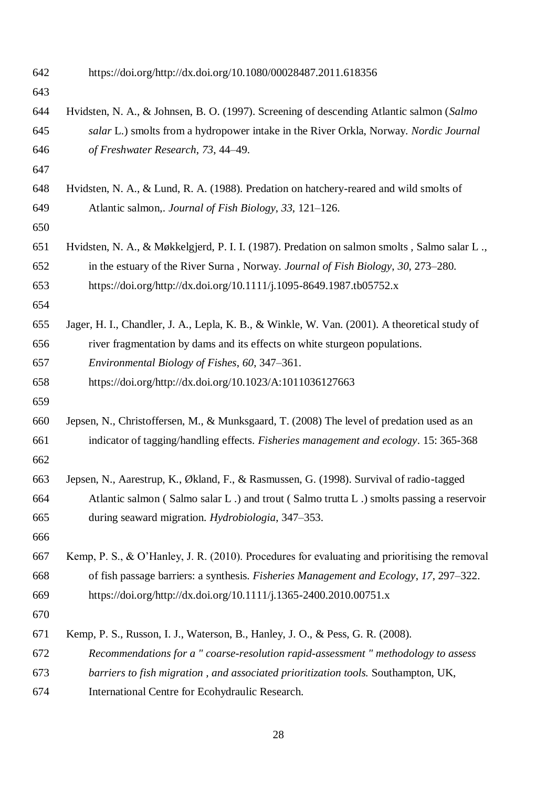| 642 | https://doi.org/http://dx.doi.org/10.1080/00028487.2011.618356                                   |
|-----|--------------------------------------------------------------------------------------------------|
| 643 |                                                                                                  |
| 644 | Hvidsten, N. A., & Johnsen, B. O. (1997). Screening of descending Atlantic salmon (Salmo         |
| 645 | salar L.) smolts from a hydropower intake in the River Orkla, Norway. Nordic Journal             |
| 646 | of Freshwater Research, 73, 44-49.                                                               |
| 647 |                                                                                                  |
| 648 | Hvidsten, N. A., & Lund, R. A. (1988). Predation on hatchery-reared and wild smolts of           |
| 649 | Atlantic salmon,. Journal of Fish Biology, 33, 121–126.                                          |
| 650 |                                                                                                  |
| 651 | Hvidsten, N. A., & Møkkelgjerd, P. I. I. (1987). Predation on salmon smolts, Salmo salar L.,     |
| 652 | in the estuary of the River Surna, Norway. Journal of Fish Biology, 30, 273–280.                 |
| 653 | https://doi.org/http://dx.doi.org/10.1111/j.1095-8649.1987.tb05752.x                             |
| 654 |                                                                                                  |
| 655 | Jager, H. I., Chandler, J. A., Lepla, K. B., & Winkle, W. Van. (2001). A theoretical study of    |
| 656 | river fragmentation by dams and its effects on white sturgeon populations.                       |
| 657 | Environmental Biology of Fishes, 60, 347-361.                                                    |
| 658 | https://doi.org/http://dx.doi.org/10.1023/A:1011036127663                                        |
| 659 |                                                                                                  |
| 660 | Jepsen, N., Christoffersen, M., & Munksgaard, T. (2008) The level of predation used as an        |
| 661 | indicator of tagging/handling effects. Fisheries management and ecology. 15: 365-368             |
| 662 |                                                                                                  |
| 663 | Jepsen, N., Aarestrup, K., Økland, F., & Rasmussen, G. (1998). Survival of radio-tagged          |
| 664 | Atlantic salmon (Salmo salar L) and trout (Salmo trutta L) smolts passing a reservoir            |
| 665 | during seaward migration. Hydrobiologia, 347–353.                                                |
| 666 |                                                                                                  |
| 667 | Kemp, P. S., $\&$ O'Hanley, J. R. (2010). Procedures for evaluating and prioritising the removal |
| 668 | of fish passage barriers: a synthesis. Fisheries Management and Ecology, 17, 297–322.            |
| 669 | https://doi.org/http://dx.doi.org/10.1111/j.1365-2400.2010.00751.x                               |
| 670 |                                                                                                  |
| 671 | Kemp, P. S., Russon, I. J., Waterson, B., Hanley, J. O., & Pess, G. R. (2008).                   |
| 672 | Recommendations for a " coarse-resolution rapid-assessment " methodology to assess               |
| 673 | barriers to fish migration, and associated prioritization tools. Southampton, UK,                |
| 674 | International Centre for Ecohydraulic Research.                                                  |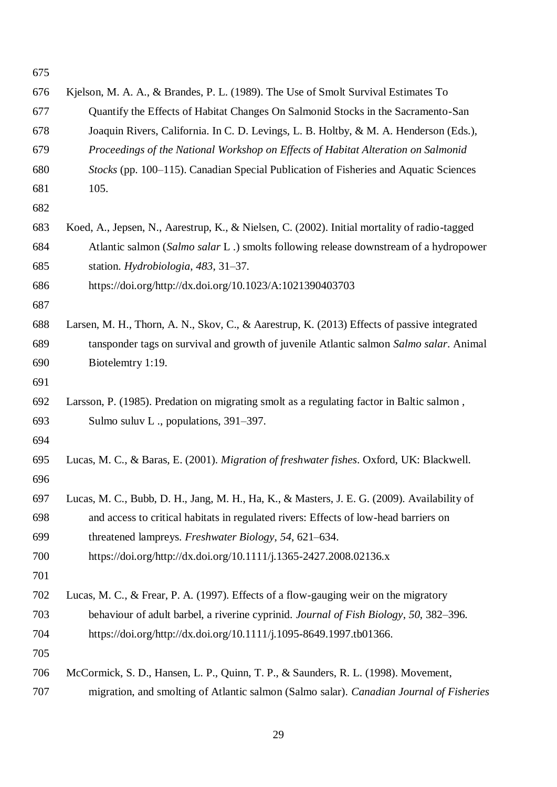| 676 | Kjelson, M. A. A., & Brandes, P. L. (1989). The Use of Smolt Survival Estimates To           |
|-----|----------------------------------------------------------------------------------------------|
| 677 | Quantify the Effects of Habitat Changes On Salmonid Stocks in the Sacramento-San             |
| 678 | Joaquin Rivers, California. In C. D. Levings, L. B. Holtby, & M. A. Henderson (Eds.),        |
| 679 | Proceedings of the National Workshop on Effects of Habitat Alteration on Salmonid            |
| 680 | Stocks (pp. 100–115). Canadian Special Publication of Fisheries and Aquatic Sciences         |
| 681 | 105.                                                                                         |
| 682 |                                                                                              |
| 683 | Koed, A., Jepsen, N., Aarestrup, K., & Nielsen, C. (2002). Initial mortality of radio-tagged |
| 684 | Atlantic salmon (Salmo salar L.) smolts following release downstream of a hydropower         |
| 685 | station. Hydrobiologia, 483, 31–37.                                                          |
| 686 | https://doi.org/http://dx.doi.org/10.1023/A:1021390403703                                    |
| 687 |                                                                                              |
| 688 | Larsen, M. H., Thorn, A. N., Skov, C., & Aarestrup, K. (2013) Effects of passive integrated  |
| 689 | tansponder tags on survival and growth of juvenile Atlantic salmon Salmo salar. Animal       |
| 690 | Biotelemtry 1:19.                                                                            |
| 691 |                                                                                              |
| 692 | Larsson, P. (1985). Predation on migrating smolt as a regulating factor in Baltic salmon,    |
| 693 | Sulmo suluv L., populations, 391-397.                                                        |
| 694 |                                                                                              |
| 695 | Lucas, M. C., & Baras, E. (2001). Migration of freshwater fishes. Oxford, UK: Blackwell.     |
| 696 |                                                                                              |
| 697 | Lucas, M. C., Bubb, D. H., Jang, M. H., Ha, K., & Masters, J. E. G. (2009). Availability of  |
| 698 | and access to critical habitats in regulated rivers: Effects of low-head barriers on         |
| 699 | threatened lampreys. Freshwater Biology, 54, 621-634.                                        |
| 700 | https://doi.org/http://dx.doi.org/10.1111/j.1365-2427.2008.02136.x                           |
| 701 |                                                                                              |
| 702 | Lucas, M. C., & Frear, P. A. (1997). Effects of a flow-gauging weir on the migratory         |
| 703 | behaviour of adult barbel, a riverine cyprinid. Journal of Fish Biology, 50, 382–396.        |
| 704 | https://doi.org/http://dx.doi.org/10.1111/j.1095-8649.1997.tb01366.                          |
| 705 |                                                                                              |
| 706 | McCormick, S. D., Hansen, L. P., Quinn, T. P., & Saunders, R. L. (1998). Movement,           |
| 707 | migration, and smolting of Atlantic salmon (Salmo salar). Canadian Journal of Fisheries      |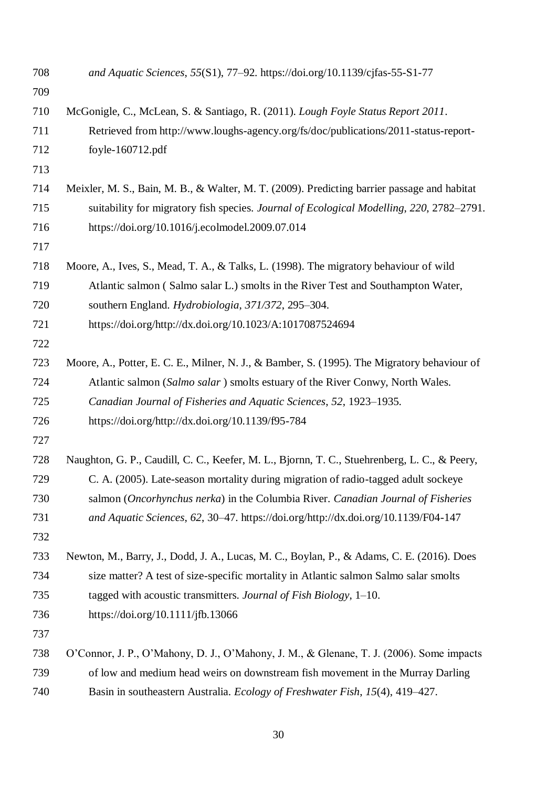| 708 | and Aquatic Sciences, 55(S1), 77-92. https://doi.org/10.1139/cjfas-55-S1-77                  |
|-----|----------------------------------------------------------------------------------------------|
| 709 |                                                                                              |
| 710 | McGonigle, C., McLean, S. & Santiago, R. (2011). Lough Foyle Status Report 2011.             |
| 711 | Retrieved from http://www.loughs-agency.org/fs/doc/publications/2011-status-report-          |
| 712 | foyle-160712.pdf                                                                             |
| 713 |                                                                                              |
| 714 | Meixler, M. S., Bain, M. B., & Walter, M. T. (2009). Predicting barrier passage and habitat  |
| 715 | suitability for migratory fish species. Journal of Ecological Modelling, 220, 2782–2791.     |
| 716 | https://doi.org/10.1016/j.ecolmodel.2009.07.014                                              |
| 717 |                                                                                              |
| 718 | Moore, A., Ives, S., Mead, T. A., & Talks, L. (1998). The migratory behaviour of wild        |
| 719 | Atlantic salmon (Salmo salar L.) smolts in the River Test and Southampton Water,             |
| 720 | southern England. Hydrobiologia, 371/372, 295–304.                                           |
| 721 | https://doi.org/http://dx.doi.org/10.1023/A:1017087524694                                    |
| 722 |                                                                                              |
| 723 | Moore, A., Potter, E. C. E., Milner, N. J., & Bamber, S. (1995). The Migratory behaviour of  |
| 724 | Atlantic salmon (Salmo salar) smolts estuary of the River Conwy, North Wales.                |
| 725 | Canadian Journal of Fisheries and Aquatic Sciences, 52, 1923–1935.                           |
| 726 | https://doi.org/http://dx.doi.org/10.1139/f95-784                                            |
| 727 |                                                                                              |
| 728 | Naughton, G. P., Caudill, C. C., Keefer, M. L., Bjornn, T. C., Stuehrenberg, L. C., & Peery, |
| 729 | C. A. (2005). Late-season mortality during migration of radio-tagged adult sockeye           |
| 730 | salmon (Oncorhynchus nerka) in the Columbia River. Canadian Journal of Fisheries             |
| 731 | and Aquatic Sciences, 62, 30-47. https://doi.org/http://dx.doi.org/10.1139/F04-147           |
| 732 |                                                                                              |
| 733 | Newton, M., Barry, J., Dodd, J. A., Lucas, M. C., Boylan, P., & Adams, C. E. (2016). Does    |
| 734 | size matter? A test of size-specific mortality in Atlantic salmon Salmo salar smolts         |
| 735 | tagged with acoustic transmitters. Journal of Fish Biology, 1-10.                            |
| 736 | https://doi.org/10.1111/jfb.13066                                                            |
| 737 |                                                                                              |
| 738 | O'Connor, J. P., O'Mahony, D. J., O'Mahony, J. M., & Glenane, T. J. (2006). Some impacts     |
| 739 | of low and medium head weirs on downstream fish movement in the Murray Darling               |
| 740 | Basin in southeastern Australia. Ecology of Freshwater Fish, 15(4), 419-427.                 |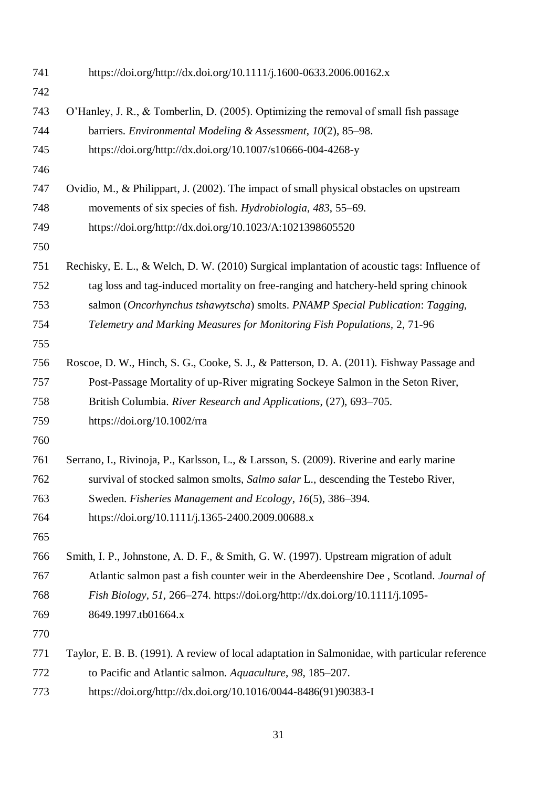| 742<br>O'Hanley, J. R., & Tomberlin, D. (2005). Optimizing the removal of small fish passage<br>743<br>744<br>barriers. Environmental Modeling & Assessment, 10(2), 85–98.<br>745<br>https://doi.org/http://dx.doi.org/10.1007/s10666-004-4268-y<br>746<br>747<br>Ovidio, M., & Philippart, J. (2002). The impact of small physical obstacles on upstream<br>748<br>movements of six species of fish. Hydrobiologia, 483, 55–69.<br>749<br>https://doi.org/http://dx.doi.org/10.1023/A:1021398605520<br>750<br>751<br>tag loss and tag-induced mortality on free-ranging and hatchery-held spring chinook<br>752<br>753<br>salmon (Oncorhynchus tshawytscha) smolts. PNAMP Special Publication: Tagging,<br>754<br>Telemetry and Marking Measures for Monitoring Fish Populations, 2, 71-96<br>755<br>756<br>Roscoe, D. W., Hinch, S. G., Cooke, S. J., & Patterson, D. A. (2011). Fishway Passage and<br>Post-Passage Mortality of up-River migrating Sockeye Salmon in the Seton River,<br>757<br>758<br>British Columbia. River Research and Applications, (27), 693-705.<br>https://doi.org/10.1002/rra<br>759<br>760<br>761<br>Serrano, I., Rivinoja, P., Karlsson, L., & Larsson, S. (2009). Riverine and early marine<br>survival of stocked salmon smolts, Salmo salar L., descending the Testebo River,<br>762<br>Sweden. Fisheries Management and Ecology, 16(5), 386–394.<br>763<br>https://doi.org/10.1111/j.1365-2400.2009.00688.x<br>764<br>765<br>766<br>Smith, I. P., Johnstone, A. D. F., & Smith, G. W. (1997). Upstream migration of adult<br>767<br>Fish Biology, 51, 266–274. https://doi.org/http://dx.doi.org/10.1111/j.1095-<br>768<br>8649.1997.tb01664.x<br>769<br>770<br>771<br>772<br>to Pacific and Atlantic salmon. Aquaculture, 98, 185-207.<br>https://doi.org/http://dx.doi.org/10.1016/0044-8486(91)90383-I<br>773 | 741 | https://doi.org/http://dx.doi.org/10.1111/j.1600-0633.2006.00162.x                             |
|------------------------------------------------------------------------------------------------------------------------------------------------------------------------------------------------------------------------------------------------------------------------------------------------------------------------------------------------------------------------------------------------------------------------------------------------------------------------------------------------------------------------------------------------------------------------------------------------------------------------------------------------------------------------------------------------------------------------------------------------------------------------------------------------------------------------------------------------------------------------------------------------------------------------------------------------------------------------------------------------------------------------------------------------------------------------------------------------------------------------------------------------------------------------------------------------------------------------------------------------------------------------------------------------------------------------------------------------------------------------------------------------------------------------------------------------------------------------------------------------------------------------------------------------------------------------------------------------------------------------------------------------------------------------------------------------------------------------------------------------------------------------------------------------------------------------------------------------------|-----|------------------------------------------------------------------------------------------------|
|                                                                                                                                                                                                                                                                                                                                                                                                                                                                                                                                                                                                                                                                                                                                                                                                                                                                                                                                                                                                                                                                                                                                                                                                                                                                                                                                                                                                                                                                                                                                                                                                                                                                                                                                                                                                                                                      |     |                                                                                                |
|                                                                                                                                                                                                                                                                                                                                                                                                                                                                                                                                                                                                                                                                                                                                                                                                                                                                                                                                                                                                                                                                                                                                                                                                                                                                                                                                                                                                                                                                                                                                                                                                                                                                                                                                                                                                                                                      |     |                                                                                                |
|                                                                                                                                                                                                                                                                                                                                                                                                                                                                                                                                                                                                                                                                                                                                                                                                                                                                                                                                                                                                                                                                                                                                                                                                                                                                                                                                                                                                                                                                                                                                                                                                                                                                                                                                                                                                                                                      |     |                                                                                                |
|                                                                                                                                                                                                                                                                                                                                                                                                                                                                                                                                                                                                                                                                                                                                                                                                                                                                                                                                                                                                                                                                                                                                                                                                                                                                                                                                                                                                                                                                                                                                                                                                                                                                                                                                                                                                                                                      |     |                                                                                                |
|                                                                                                                                                                                                                                                                                                                                                                                                                                                                                                                                                                                                                                                                                                                                                                                                                                                                                                                                                                                                                                                                                                                                                                                                                                                                                                                                                                                                                                                                                                                                                                                                                                                                                                                                                                                                                                                      |     |                                                                                                |
|                                                                                                                                                                                                                                                                                                                                                                                                                                                                                                                                                                                                                                                                                                                                                                                                                                                                                                                                                                                                                                                                                                                                                                                                                                                                                                                                                                                                                                                                                                                                                                                                                                                                                                                                                                                                                                                      |     |                                                                                                |
|                                                                                                                                                                                                                                                                                                                                                                                                                                                                                                                                                                                                                                                                                                                                                                                                                                                                                                                                                                                                                                                                                                                                                                                                                                                                                                                                                                                                                                                                                                                                                                                                                                                                                                                                                                                                                                                      |     |                                                                                                |
|                                                                                                                                                                                                                                                                                                                                                                                                                                                                                                                                                                                                                                                                                                                                                                                                                                                                                                                                                                                                                                                                                                                                                                                                                                                                                                                                                                                                                                                                                                                                                                                                                                                                                                                                                                                                                                                      |     |                                                                                                |
|                                                                                                                                                                                                                                                                                                                                                                                                                                                                                                                                                                                                                                                                                                                                                                                                                                                                                                                                                                                                                                                                                                                                                                                                                                                                                                                                                                                                                                                                                                                                                                                                                                                                                                                                                                                                                                                      |     |                                                                                                |
|                                                                                                                                                                                                                                                                                                                                                                                                                                                                                                                                                                                                                                                                                                                                                                                                                                                                                                                                                                                                                                                                                                                                                                                                                                                                                                                                                                                                                                                                                                                                                                                                                                                                                                                                                                                                                                                      |     | Rechisky, E. L., & Welch, D. W. (2010) Surgical implantation of acoustic tags: Influence of    |
|                                                                                                                                                                                                                                                                                                                                                                                                                                                                                                                                                                                                                                                                                                                                                                                                                                                                                                                                                                                                                                                                                                                                                                                                                                                                                                                                                                                                                                                                                                                                                                                                                                                                                                                                                                                                                                                      |     |                                                                                                |
|                                                                                                                                                                                                                                                                                                                                                                                                                                                                                                                                                                                                                                                                                                                                                                                                                                                                                                                                                                                                                                                                                                                                                                                                                                                                                                                                                                                                                                                                                                                                                                                                                                                                                                                                                                                                                                                      |     |                                                                                                |
|                                                                                                                                                                                                                                                                                                                                                                                                                                                                                                                                                                                                                                                                                                                                                                                                                                                                                                                                                                                                                                                                                                                                                                                                                                                                                                                                                                                                                                                                                                                                                                                                                                                                                                                                                                                                                                                      |     |                                                                                                |
|                                                                                                                                                                                                                                                                                                                                                                                                                                                                                                                                                                                                                                                                                                                                                                                                                                                                                                                                                                                                                                                                                                                                                                                                                                                                                                                                                                                                                                                                                                                                                                                                                                                                                                                                                                                                                                                      |     |                                                                                                |
|                                                                                                                                                                                                                                                                                                                                                                                                                                                                                                                                                                                                                                                                                                                                                                                                                                                                                                                                                                                                                                                                                                                                                                                                                                                                                                                                                                                                                                                                                                                                                                                                                                                                                                                                                                                                                                                      |     |                                                                                                |
|                                                                                                                                                                                                                                                                                                                                                                                                                                                                                                                                                                                                                                                                                                                                                                                                                                                                                                                                                                                                                                                                                                                                                                                                                                                                                                                                                                                                                                                                                                                                                                                                                                                                                                                                                                                                                                                      |     |                                                                                                |
|                                                                                                                                                                                                                                                                                                                                                                                                                                                                                                                                                                                                                                                                                                                                                                                                                                                                                                                                                                                                                                                                                                                                                                                                                                                                                                                                                                                                                                                                                                                                                                                                                                                                                                                                                                                                                                                      |     |                                                                                                |
|                                                                                                                                                                                                                                                                                                                                                                                                                                                                                                                                                                                                                                                                                                                                                                                                                                                                                                                                                                                                                                                                                                                                                                                                                                                                                                                                                                                                                                                                                                                                                                                                                                                                                                                                                                                                                                                      |     |                                                                                                |
|                                                                                                                                                                                                                                                                                                                                                                                                                                                                                                                                                                                                                                                                                                                                                                                                                                                                                                                                                                                                                                                                                                                                                                                                                                                                                                                                                                                                                                                                                                                                                                                                                                                                                                                                                                                                                                                      |     |                                                                                                |
|                                                                                                                                                                                                                                                                                                                                                                                                                                                                                                                                                                                                                                                                                                                                                                                                                                                                                                                                                                                                                                                                                                                                                                                                                                                                                                                                                                                                                                                                                                                                                                                                                                                                                                                                                                                                                                                      |     |                                                                                                |
|                                                                                                                                                                                                                                                                                                                                                                                                                                                                                                                                                                                                                                                                                                                                                                                                                                                                                                                                                                                                                                                                                                                                                                                                                                                                                                                                                                                                                                                                                                                                                                                                                                                                                                                                                                                                                                                      |     |                                                                                                |
|                                                                                                                                                                                                                                                                                                                                                                                                                                                                                                                                                                                                                                                                                                                                                                                                                                                                                                                                                                                                                                                                                                                                                                                                                                                                                                                                                                                                                                                                                                                                                                                                                                                                                                                                                                                                                                                      |     |                                                                                                |
|                                                                                                                                                                                                                                                                                                                                                                                                                                                                                                                                                                                                                                                                                                                                                                                                                                                                                                                                                                                                                                                                                                                                                                                                                                                                                                                                                                                                                                                                                                                                                                                                                                                                                                                                                                                                                                                      |     |                                                                                                |
|                                                                                                                                                                                                                                                                                                                                                                                                                                                                                                                                                                                                                                                                                                                                                                                                                                                                                                                                                                                                                                                                                                                                                                                                                                                                                                                                                                                                                                                                                                                                                                                                                                                                                                                                                                                                                                                      |     |                                                                                                |
|                                                                                                                                                                                                                                                                                                                                                                                                                                                                                                                                                                                                                                                                                                                                                                                                                                                                                                                                                                                                                                                                                                                                                                                                                                                                                                                                                                                                                                                                                                                                                                                                                                                                                                                                                                                                                                                      |     |                                                                                                |
|                                                                                                                                                                                                                                                                                                                                                                                                                                                                                                                                                                                                                                                                                                                                                                                                                                                                                                                                                                                                                                                                                                                                                                                                                                                                                                                                                                                                                                                                                                                                                                                                                                                                                                                                                                                                                                                      |     | Atlantic salmon past a fish counter weir in the Aberdeenshire Dee, Scotland. Journal of        |
|                                                                                                                                                                                                                                                                                                                                                                                                                                                                                                                                                                                                                                                                                                                                                                                                                                                                                                                                                                                                                                                                                                                                                                                                                                                                                                                                                                                                                                                                                                                                                                                                                                                                                                                                                                                                                                                      |     |                                                                                                |
|                                                                                                                                                                                                                                                                                                                                                                                                                                                                                                                                                                                                                                                                                                                                                                                                                                                                                                                                                                                                                                                                                                                                                                                                                                                                                                                                                                                                                                                                                                                                                                                                                                                                                                                                                                                                                                                      |     |                                                                                                |
|                                                                                                                                                                                                                                                                                                                                                                                                                                                                                                                                                                                                                                                                                                                                                                                                                                                                                                                                                                                                                                                                                                                                                                                                                                                                                                                                                                                                                                                                                                                                                                                                                                                                                                                                                                                                                                                      |     |                                                                                                |
|                                                                                                                                                                                                                                                                                                                                                                                                                                                                                                                                                                                                                                                                                                                                                                                                                                                                                                                                                                                                                                                                                                                                                                                                                                                                                                                                                                                                                                                                                                                                                                                                                                                                                                                                                                                                                                                      |     | Taylor, E. B. B. (1991). A review of local adaptation in Salmonidae, with particular reference |
|                                                                                                                                                                                                                                                                                                                                                                                                                                                                                                                                                                                                                                                                                                                                                                                                                                                                                                                                                                                                                                                                                                                                                                                                                                                                                                                                                                                                                                                                                                                                                                                                                                                                                                                                                                                                                                                      |     |                                                                                                |
|                                                                                                                                                                                                                                                                                                                                                                                                                                                                                                                                                                                                                                                                                                                                                                                                                                                                                                                                                                                                                                                                                                                                                                                                                                                                                                                                                                                                                                                                                                                                                                                                                                                                                                                                                                                                                                                      |     |                                                                                                |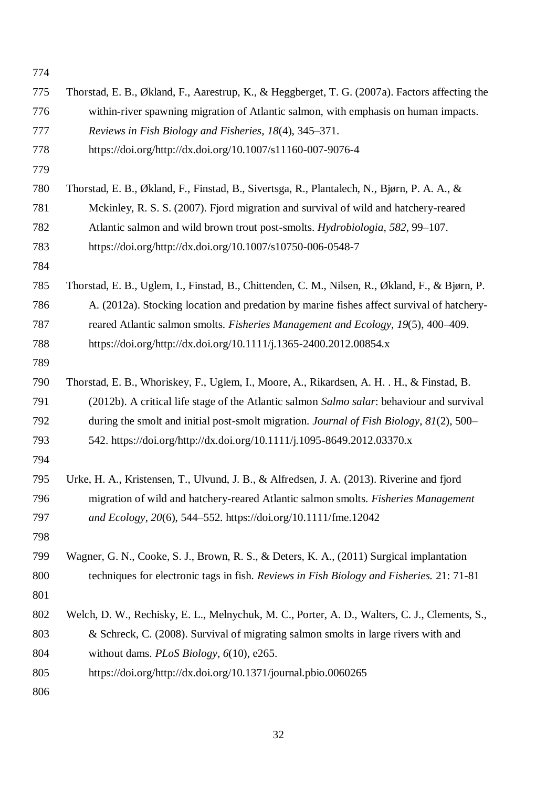| 774 |                                                                                                 |
|-----|-------------------------------------------------------------------------------------------------|
| 775 | Thorstad, E. B., Økland, F., Aarestrup, K., & Heggberget, T. G. (2007a). Factors affecting the  |
| 776 | within-river spawning migration of Atlantic salmon, with emphasis on human impacts.             |
| 777 | Reviews in Fish Biology and Fisheries, 18(4), 345–371.                                          |
| 778 | https://doi.org/http://dx.doi.org/10.1007/s11160-007-9076-4                                     |
| 779 |                                                                                                 |
| 780 | Thorstad, E. B., Økland, F., Finstad, B., Sivertsga, R., Plantalech, N., Bjørn, P. A. A., &     |
| 781 | Mckinley, R. S. S. (2007). Fjord migration and survival of wild and hatchery-reared             |
| 782 | Atlantic salmon and wild brown trout post-smolts. Hydrobiologia, 582, 99–107.                   |
| 783 | https://doi.org/http://dx.doi.org/10.1007/s10750-006-0548-7                                     |
| 784 |                                                                                                 |
| 785 | Thorstad, E. B., Uglem, I., Finstad, B., Chittenden, C. M., Nilsen, R., Økland, F., & Bjørn, P. |
| 786 | A. (2012a). Stocking location and predation by marine fishes affect survival of hatchery-       |
| 787 | reared Atlantic salmon smolts. Fisheries Management and Ecology, 19(5), 400–409.                |
| 788 | https://doi.org/http://dx.doi.org/10.1111/j.1365-2400.2012.00854.x                              |
| 789 |                                                                                                 |
| 790 | Thorstad, E. B., Whoriskey, F., Uglem, I., Moore, A., Rikardsen, A. H. . H., & Finstad, B.      |
| 791 | (2012b). A critical life stage of the Atlantic salmon Salmo salar: behaviour and survival       |
| 792 | during the smolt and initial post-smolt migration. Journal of Fish Biology, 81(2), 500–         |
| 793 | 542. https://doi.org/http://dx.doi.org/10.1111/j.1095-8649.2012.03370.x                         |
| 794 |                                                                                                 |
| 795 | Urke, H. A., Kristensen, T., Ulvund, J. B., & Alfredsen, J. A. (2013). Riverine and fjord       |
| 796 | migration of wild and hatchery-reared Atlantic salmon smolts. Fisheries Management              |
| 797 | and Ecology, 20(6), 544–552. https://doi.org/10.1111/fme.12042                                  |
| 798 |                                                                                                 |
| 799 | Wagner, G. N., Cooke, S. J., Brown, R. S., & Deters, K. A., (2011) Surgical implantation        |
| 800 | techniques for electronic tags in fish. Reviews in Fish Biology and Fisheries. 21: 71-81        |
| 801 |                                                                                                 |
| 802 | Welch, D. W., Rechisky, E. L., Melnychuk, M. C., Porter, A. D., Walters, C. J., Clements, S.,   |
| 803 | & Schreck, C. (2008). Survival of migrating salmon smolts in large rivers with and              |
| 804 | without dams. $PLoS Biology$ , $6(10)$ , e265.                                                  |
| 805 | https://doi.org/http://dx.doi.org/10.1371/journal.pbio.0060265                                  |
| 806 |                                                                                                 |